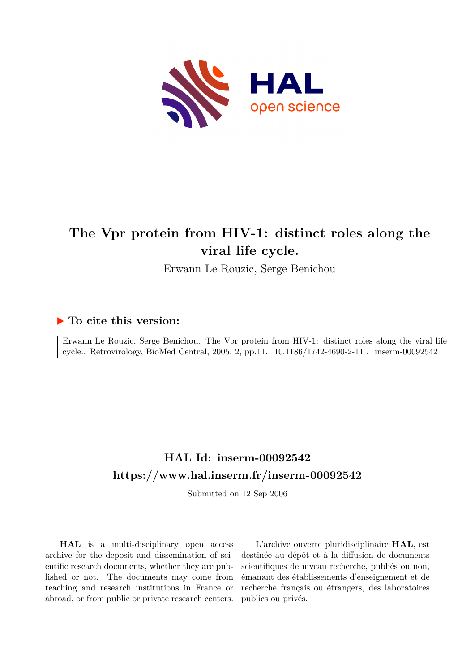

# **The Vpr protein from HIV-1: distinct roles along the viral life cycle.**

Erwann Le Rouzic, Serge Benichou

# **To cite this version:**

Erwann Le Rouzic, Serge Benichou. The Vpr protein from HIV-1: distinct roles along the viral life cycle.. Retrovirology, BioMed Central, 2005, 2, pp.11.  $10.1186/1742-4690-2-11$ . inserm-00092542

# **HAL Id: inserm-00092542 <https://www.hal.inserm.fr/inserm-00092542>**

Submitted on 12 Sep 2006

**HAL** is a multi-disciplinary open access archive for the deposit and dissemination of scientific research documents, whether they are published or not. The documents may come from teaching and research institutions in France or abroad, or from public or private research centers.

L'archive ouverte pluridisciplinaire **HAL**, est destinée au dépôt et à la diffusion de documents scientifiques de niveau recherche, publiés ou non, émanant des établissements d'enseignement et de recherche français ou étrangers, des laboratoires publics ou privés.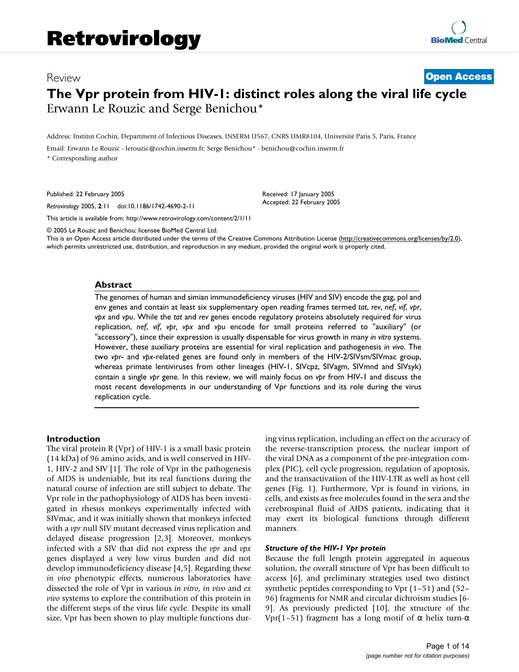# Review **[Open Access](http://www.biomedcentral.com/info/about/charter/) The Vpr protein from HIV-1: distinct roles along the viral life cycle** Erwann Le Rouzic and Serge Benichou\*

Address: Institut Cochin, Department of Infectious Diseases, INSERM U567, CNRS UMR8104, Université Paris 5, Paris, France

Email: Erwann Le Rouzic - lerouzic@cochin.inserm.fr; Serge Benichou\* - benichou@cochin.inserm.fr

\* Corresponding author

Published: 22 February 2005

*Retrovirology* 2005, **2**:11 doi:10.1186/1742-4690-2-11

[This article is available from: http://www.retrovirology.com/content/2/1/11](http://www.retrovirology.com/content/2/1/11)

© 2005 Le Rouzic and Benichou; licensee BioMed Central Ltd.

This is an Open Access article distributed under the terms of the Creative Commons Attribution License [\(http://creativecommons.org/licenses/by/2.0\)](http://creativecommons.org/licenses/by/2.0), which permits unrestricted use, distribution, and reproduction in any medium, provided the original work is properly cited.

Received: 17 January 2005 Accepted: 22 February 2005

#### **Abstract**

The genomes of human and simian immunodeficiency viruses (HIV and SIV) encode the gag, pol and env genes and contain at least six supplementary open reading frames termed *tat*, *rev*, *nef*, *vif*, *vpr*, *vpx* and *vpu*. While the *tat* and *rev* genes encode regulatory proteins absolutely required for virus replication, *nef*, *vif*, *vpr, vpx* and *vpu* encode for small proteins referred to "auxiliary" (or "accessory"), since their expression is usually dispensable for virus growth in many *in vitro* systems. However, these auxiliary proteins are essential for viral replication and pathogenesis *in vivo*. The two *vpr*- and *vpx*-related genes are found only in members of the HIV-2/SIVsm/SIVmac group, whereas primate lentiviruses from other lineages (HIV-1, SIVcpz, SIVagm, SIVmnd and SIVsyk) contain a single *vpr* gene. In this review, we will mainly focus on *vpr* from HIV-1 and discuss the most recent developments in our understanding of Vpr functions and its role during the virus replication cycle.

#### **Introduction**

The viral protein R (Vpr) of HIV-1 is a small basic protein (14 kDa) of 96 amino acids, and is well conserved in HIV-1, HIV-2 and SIV [1]. The role of Vpr in the pathogenesis of AIDS is undeniable, but its real functions during the natural course of infection are still subject to debate. The Vpr role in the pathophysiology of AIDS has been investigated in rhesus monkeys experimentally infected with SIVmac, and it was initially shown that monkeys infected with a *vpr* null SIV mutant decreased virus replication and delayed disease progression [2,3]. Moreover, monkeys infected with a SIV that did not express the *vpr* and *vpx* genes displayed a very low virus burden and did not develop immunodeficiency disease [4,5]. Regarding these *in vivo* phenotypic effects, numerous laboratories have dissected the role of Vpr in various *in vitro*, *in vivo* and *ex vivo* systems to explore the contribution of this protein in the different steps of the virus life cycle. Despite its small size, Vpr has been shown to play multiple functions during virus replication, including an effect on the accuracy of the reverse-transcription process, the nuclear import of the viral DNA as a component of the pre-integration complex (PIC), cell cycle progression, regulation of apoptosis, and the transactivation of the HIV-LTR as well as host cell genes (Fig. [1\)](#page-2-0). Furthermore, Vpr is found in virions, in cells, and exists as free molecules found in the sera and the cerebrospinal fluid of AIDS patients, indicating that it may exert its biological functions through different manners.

#### *Structure of the HIV-1 Vpr protein*

Because the full length protein aggregated in aqueous solution, the overall structure of Vpr has been difficult to access [6], and preliminary strategies used two distinct synthetic peptides corresponding to Vpr (1–51) and (52– 96) fragments for NMR and circular dichroism studies [6- 9]. As previously predicted [10], the structure of the Vpr(1–51) fragment has a long motif of  $\alpha$  helix turn- $\alpha$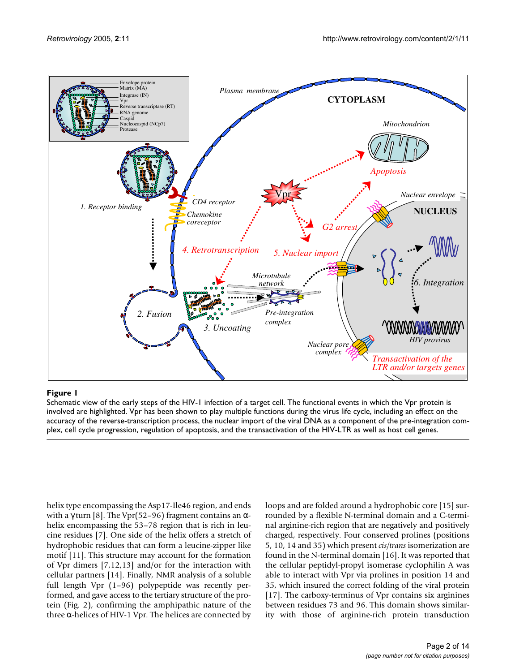<span id="page-2-0"></span>

#### Figure 1

Schematic view of the early steps of the HIV-1 infection of a target cell. The functional events in which the Vpr protein is involved are highlighted. Vpr has been shown to play multiple functions during the virus life cycle, including an effect on the accuracy of the reverse-transcription process, the nuclear import of the viral DNA as a component of the pre-integration complex, cell cycle progression, regulation of apoptosis, and the transactivation of the HIV-LTR as well as host cell genes.

helix type encompassing the Asp17-Ile46 region, and ends with a γ turn [8]. The Vpr(52–96) fragment contains an  $\alpha$ helix encompassing the 53–78 region that is rich in leucine residues [7]. One side of the helix offers a stretch of hydrophobic residues that can form a leucine-zipper like motif [11]. This structure may account for the formation of Vpr dimers [7,12,13] and/or for the interaction with cellular partners [14]. Finally, NMR analysis of a soluble full length Vpr (1–96) polypeptide was recently performed, and gave access to the tertiary structure of the protein (Fig. 2), confirming the amphipathic nature of the three α-helices of HIV-1 Vpr. The helices are connected by loops and are folded around a hydrophobic core [15] surrounded by a flexible N-terminal domain and a C-terminal arginine-rich region that are negatively and positively charged, respectively. Four conserved prolines (positions 5, 10, 14 and 35) which present *cis/trans* isomerization are found in the N-terminal domain [16]. It was reported that the cellular peptidyl-propyl isomerase cyclophilin A was able to interact with Vpr via prolines in position 14 and 35, which insured the correct folding of the viral protein [17]. The carboxy-terminus of Vpr contains six arginines between residues 73 and 96. This domain shows similarity with those of arginine-rich protein transduction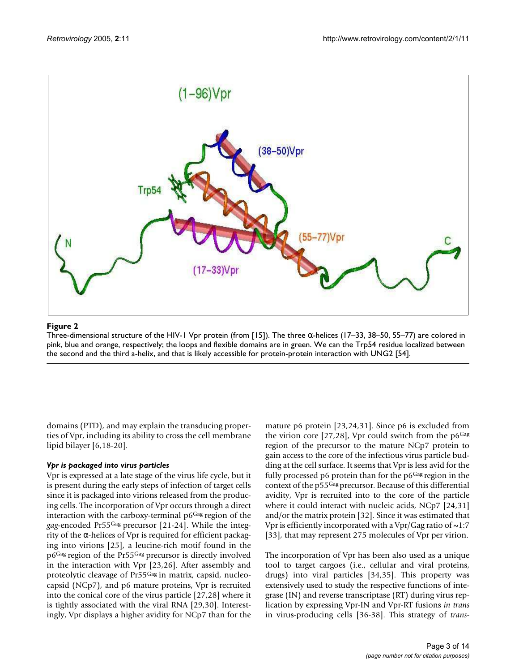

#### Figure 2

Three-dimensional structure of the HIV-1 Vpr protein (from [15]). The three α-helices (17–33, 38–50, 55–77) are colored in pink, blue and orange, respectively; the loops and flexible domains are in green. We can the Trp54 residue localized between the second and the third a-helix, and that is likely accessible for protein-protein interaction with UNG2 [54].

domains (PTD), and may explain the transducing properties of Vpr, including its ability to cross the cell membrane lipid bilayer [6,18-20].

#### *Vpr is packaged into virus particles*

Vpr is expressed at a late stage of the virus life cycle, but it is present during the early steps of infection of target cells since it is packaged into virions released from the producing cells. The incorporation of Vpr occurs through a direct interaction with the carboxy-terminal p6Gag region of the *gag*-encoded Pr55Gag precursor [21-24]. While the integrity of the α-helices of Vpr is required for efficient packaging into virions [25], a leucine-rich motif found in the p6Gag region of the Pr55Gag precursor is directly involved in the interaction with Vpr [23,26]. After assembly and proteolytic cleavage of Pr55Gag in matrix, capsid, nucleocapsid (NCp7), and p6 mature proteins, Vpr is recruited into the conical core of the virus particle [27,28] where it is tightly associated with the viral RNA [29,30]. Interestingly, Vpr displays a higher avidity for NCp7 than for the mature p6 protein [23,24,31]. Since p6 is excluded from the virion core [27,28], Vpr could switch from the  $p6<sup>Gag</sup>$ region of the precursor to the mature NCp7 protein to gain access to the core of the infectious virus particle budding at the cell surface. It seems that Vpr is less avid for the fully processed p6 protein than for the  $p6<sup>Gag</sup>$  region in the context of the p55Gag precursor. Because of this differential avidity, Vpr is recruited into to the core of the particle where it could interact with nucleic acids, NCp7 [24,31] and/or the matrix protein [32]. Since it was estimated that Vpr is efficiently incorporated with a Vpr/Gag ratio of  $\sim$ 1:7 [33], that may represent 275 molecules of Vpr per virion.

The incorporation of Vpr has been also used as a unique tool to target cargoes (i.e., cellular and viral proteins, drugs) into viral particles [34,35]. This property was extensively used to study the respective functions of integrase (IN) and reverse transcriptase (RT) during virus replication by expressing Vpr-IN and Vpr-RT fusions *in trans* in virus-producing cells [36-38]. This strategy of *trans*-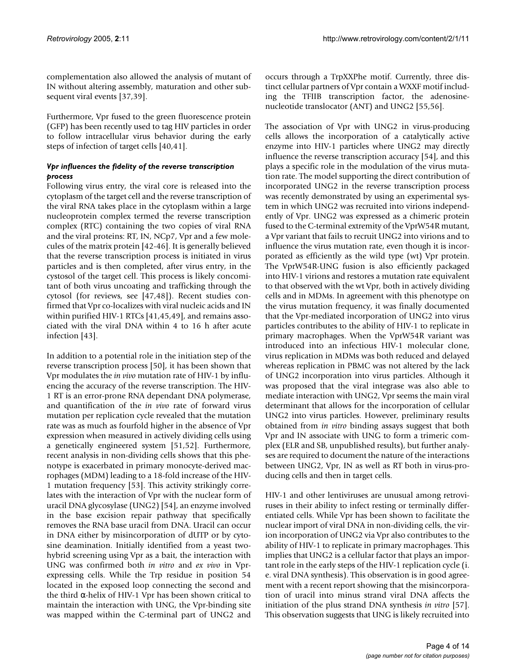complementation also allowed the analysis of mutant of IN without altering assembly, maturation and other subsequent viral events [37,39].

Furthermore, Vpr fused to the green fluorescence protein (GFP) has been recently used to tag HIV particles in order to follow intracellular virus behavior during the early steps of infection of target cells [40,41].

## *Vpr influences the fidelity of the reverse transcription process*

Following virus entry, the viral core is released into the cytoplasm of the target cell and the reverse transcription of the viral RNA takes place in the cytoplasm within a large nucleoprotein complex termed the reverse transcription complex (RTC) containing the two copies of viral RNA and the viral proteins: RT, IN, NCp7, Vpr and a few molecules of the matrix protein [42-46]. It is generally believed that the reverse transcription process is initiated in virus particles and is then completed, after virus entry, in the cystosol of the target cell. This process is likely concomitant of both virus uncoating and trafficking through the cytosol (for reviews, see [47,48]). Recent studies confirmed that Vpr co-localizes with viral nucleic acids and IN within purified HIV-1 RTCs [41,45,49], and remains associated with the viral DNA within 4 to 16 h after acute infection [43].

In addition to a potential role in the initiation step of the reverse transcription process [50], it has been shown that Vpr modulates the *in vivo* mutation rate of HIV-1 by influencing the accuracy of the reverse transcription. The HIV-1 RT is an error-prone RNA dependant DNA polymerase, and quantification of the *in vivo* rate of forward virus mutation per replication cycle revealed that the mutation rate was as much as fourfold higher in the absence of Vpr expression when measured in actively dividing cells using a genetically engineered system [51,52]. Furthermore, recent analysis in non-dividing cells shows that this phenotype is exacerbated in primary monocyte-derived macrophages (MDM) leading to a 18-fold increase of the HIV-1 mutation frequency [53]. This activity strikingly correlates with the interaction of Vpr with the nuclear form of uracil DNA glycosylase (UNG2) [54], an enzyme involved in the base excision repair pathway that specifically removes the RNA base uracil from DNA. Uracil can occur in DNA either by misincorporation of dUTP or by cytosine deamination. Initially identified from a yeast twohybrid screening using Vpr as a bait, the interaction with UNG was confirmed both *in vitro* and *ex vivo* in Vprexpressing cells. While the Trp residue in position 54 located in the exposed loop connecting the second and the third α-helix of HIV-1 Vpr has been shown critical to maintain the interaction with UNG, the Vpr-binding site was mapped within the C-terminal part of UNG2 and

occurs through a TrpXXPhe motif. Currently, three distinct cellular partners of Vpr contain a WXXF motif including the TFIIB transcription factor, the adenosinenucleotide translocator (ANT) and UNG2 [55,56].

The association of Vpr with UNG2 in virus-producing cells allows the incorporation of a catalytically active enzyme into HIV-1 particles where UNG2 may directly influence the reverse transcription accuracy [54], and this plays a specific role in the modulation of the virus mutation rate. The model supporting the direct contribution of incorporated UNG2 in the reverse transcription process was recently demonstrated by using an experimental system in which UNG2 was recruited into virions independently of Vpr. UNG2 was expressed as a chimeric protein fused to the C-terminal extremity of the VprW54R mutant, a Vpr variant that fails to recruit UNG2 into virions and to influence the virus mutation rate, even though it is incorporated as efficiently as the wild type (wt) Vpr protein. The VprW54R-UNG fusion is also efficiently packaged into HIV-1 virions and restores a mutation rate equivalent to that observed with the wt Vpr, both in actively dividing cells and in MDMs. In agreement with this phenotype on the virus mutation frequency, it was finally documented that the Vpr-mediated incorporation of UNG2 into virus particles contributes to the ability of HIV-1 to replicate in primary macrophages. When the VprW54R variant was introduced into an infectious HIV-1 molecular clone, virus replication in MDMs was both reduced and delayed whereas replication in PBMC was not altered by the lack of UNG2 incorporation into virus particles. Although it was proposed that the viral integrase was also able to mediate interaction with UNG2, Vpr seems the main viral determinant that allows for the incorporation of cellular UNG2 into virus particles. However, preliminary results obtained from *in vitro* binding assays suggest that both Vpr and IN associate with UNG to form a trimeric complex (ELR and SB, unpublished results), but further analyses are required to document the nature of the interactions between UNG2, Vpr, IN as well as RT both in virus-producing cells and then in target cells.

HIV-1 and other lentiviruses are unusual among retroviruses in their ability to infect resting or terminally differentiated cells. While Vpr has been shown to facilitate the nuclear import of viral DNA in non-dividing cells, the virion incorporation of UNG2 via Vpr also contributes to the ability of HIV-1 to replicate in primary macrophages. This implies that UNG2 is a cellular factor that plays an important role in the early steps of the HIV-1 replication cycle (i. e. viral DNA synthesis). This observation is in good agreement with a recent report showing that the misincorporation of uracil into minus strand viral DNA affects the initiation of the plus strand DNA synthesis *in vitro* [57]. This observation suggests that UNG is likely recruited into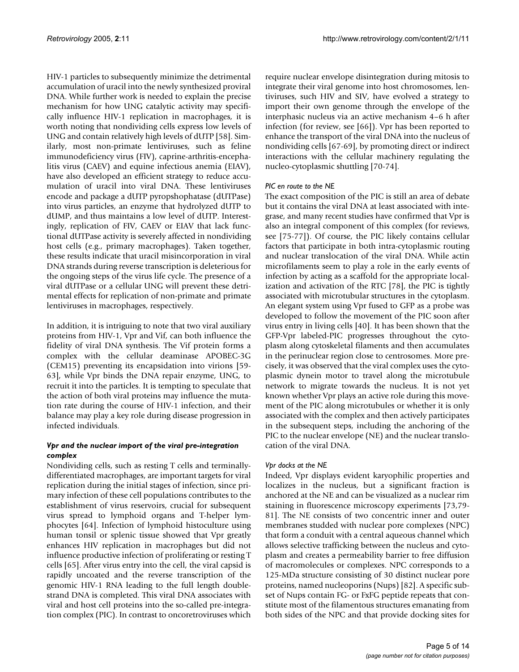HIV-1 particles to subsequently minimize the detrimental accumulation of uracil into the newly synthesized proviral DNA. While further work is needed to explain the precise mechanism for how UNG catalytic activity may specifically influence HIV-1 replication in macrophages, it is worth noting that nondividing cells express low levels of UNG and contain relatively high levels of dUTP [58]. Similarly, most non-primate lentiviruses, such as feline immunodeficiency virus (FIV), caprine-arthritis-encephalitis virus (CAEV) and equine infectious anemia (EIAV), have also developed an efficient strategy to reduce accumulation of uracil into viral DNA. These lentiviruses encode and package a dUTP pyropshophatase (dUTPase) into virus particles, an enzyme that hydrolyzed dUTP to dUMP, and thus maintains a low level of dUTP. Interestingly, replication of FIV, CAEV or EIAV that lack functional dUTPase activity is severely affected in nondividing host cells (e.g., primary macrophages). Taken together, these results indicate that uracil misincorporation in viral DNA strands during reverse transcription is deleterious for the ongoing steps of the virus life cycle. The presence of a viral dUTPase or a cellular UNG will prevent these detrimental effects for replication of non-primate and primate lentiviruses in macrophages, respectively.

In addition, it is intriguing to note that two viral auxiliary proteins from HIV-1, Vpr and Vif, can both influence the fidelity of viral DNA synthesis. The Vif protein forms a complex with the cellular deaminase APOBEC-3G (CEM15) preventing its encapsidation into virions [59- 63], while Vpr binds the DNA repair enzyme, UNG, to recruit it into the particles. It is tempting to speculate that the action of both viral proteins may influence the mutation rate during the course of HIV-1 infection, and their balance may play a key role during disease progression in infected individuals.

### *Vpr and the nuclear import of the viral pre-integration complex*

Nondividing cells, such as resting T cells and terminallydifferentiated macrophages, are important targets for viral replication during the initial stages of infection, since primary infection of these cell populations contributes to the establishment of virus reservoirs, crucial for subsequent virus spread to lymphoid organs and T-helper lymphocytes [64]. Infection of lymphoid histoculture using human tonsil or splenic tissue showed that Vpr greatly enhances HIV replication in macrophages but did not influence productive infection of proliferating or resting T cells [65]. After virus entry into the cell, the viral capsid is rapidly uncoated and the reverse transcription of the genomic HIV-1 RNA leading to the full length doublestrand DNA is completed. This viral DNA associates with viral and host cell proteins into the so-called pre-integration complex (PIC). In contrast to oncoretroviruses which

require nuclear envelope disintegration during mitosis to integrate their viral genome into host chromosomes, lentiviruses, such HIV and SIV, have evolved a strategy to import their own genome through the envelope of the interphasic nucleus via an active mechanism 4–6 h after infection (for review, see [66]). Vpr has been reported to enhance the transport of the viral DNA into the nucleus of nondividing cells [67-69], by promoting direct or indirect interactions with the cellular machinery regulating the nucleo-cytoplasmic shuttling [70-74].

### *PIC en route to the NE*

The exact composition of the PIC is still an area of debate but it contains the viral DNA at least associated with integrase, and many recent studies have confirmed that Vpr is also an integral component of this complex (for reviews, see [75-77]). Of course, the PIC likely contains cellular factors that participate in both intra-cytoplasmic routing and nuclear translocation of the viral DNA. While actin microfilaments seem to play a role in the early events of infection by acting as a scaffold for the appropriate localization and activation of the RTC [78], the PIC is tightly associated with microtubular structures in the cytoplasm. An elegant system using Vpr fused to GFP as a probe was developed to follow the movement of the PIC soon after virus entry in living cells [40]. It has been shown that the GFP-Vpr labeled-PIC progresses throughout the cytoplasm along cytoskeletal filaments and then accumulates in the perinuclear region close to centrosomes. More precisely, it was observed that the viral complex uses the cytoplasmic dynein motor to travel along the microtubule network to migrate towards the nucleus. It is not yet known whether Vpr plays an active role during this movement of the PIC along microtubules or whether it is only associated with the complex and then actively participates in the subsequent steps, including the anchoring of the PIC to the nuclear envelope (NE) and the nuclear translocation of the viral DNA.

#### *Vpr docks at the NE*

Indeed, Vpr displays evident karyophilic properties and localizes in the nucleus, but a significant fraction is anchored at the NE and can be visualized as a nuclear rim staining in fluorescence microscopy experiments [73,79- 81]. The NE consists of two concentric inner and outer membranes studded with nuclear pore complexes (NPC) that form a conduit with a central aqueous channel which allows selective trafficking between the nucleus and cytoplasm and creates a permeability barrier to free diffusion of macromolecules or complexes. NPC corresponds to a 125-MDa structure consisting of 30 distinct nuclear pore proteins, named nucleoporins (Nups) [82]. A specific subset of Nups contain FG- or FxFG peptide repeats that constitute most of the filamentous structures emanating from both sides of the NPC and that provide docking sites for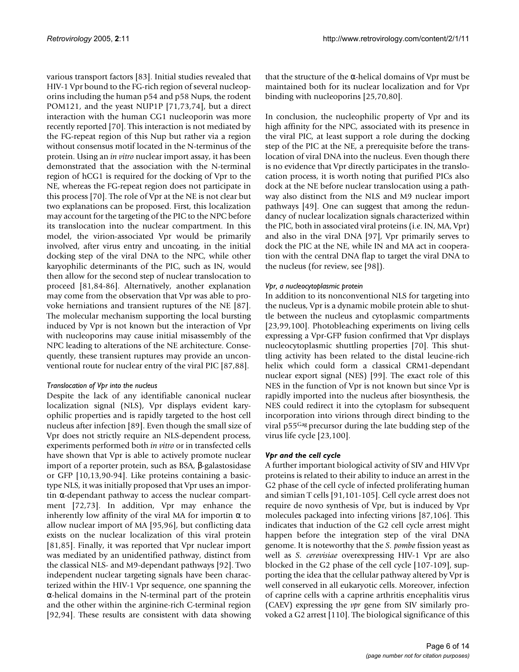various transport factors [83]. Initial studies revealed that HIV-1 Vpr bound to the FG-rich region of several nucleoporins including the human p54 and p58 Nups, the rodent POM121, and the yeast NUP1P [71,73,74], but a direct interaction with the human CG1 nucleoporin was more recently reported [70]. This interaction is not mediated by the FG-repeat region of this Nup but rather via a region without consensus motif located in the N-terminus of the protein. Using an *in vitro* nuclear import assay, it has been demonstrated that the association with the N-terminal region of hCG1 is required for the docking of Vpr to the NE, whereas the FG-repeat region does not participate in this process [70]. The role of Vpr at the NE is not clear but two explanations can be proposed. First, this localization may account for the targeting of the PIC to the NPC before its translocation into the nuclear compartment. In this model, the virion-associated Vpr would be primarily involved, after virus entry and uncoating, in the initial docking step of the viral DNA to the NPC, while other karyophilic determinants of the PIC, such as IN, would then allow for the second step of nuclear translocation to proceed [81,84-86]. Alternatively, another explanation may come from the observation that Vpr was able to provoke herniations and transient ruptures of the NE [87]. The molecular mechanism supporting the local bursting induced by Vpr is not known but the interaction of Vpr with nucleoporins may cause initial misassembly of the NPC leading to alterations of the NE architecture. Consequently, these transient ruptures may provide an unconventional route for nuclear entry of the viral PIC [87,88].

#### *Translocation of Vpr into the nucleus*

Despite the lack of any identifiable canonical nuclear localization signal (NLS), Vpr displays evident karyophilic properties and is rapidly targeted to the host cell nucleus after infection [89]. Even though the small size of Vpr does not strictly require an NLS-dependent process, experiments performed both *in vitro* or in transfected cells have shown that Vpr is able to actively promote nuclear import of a reporter protein, such as BSA, β-galastosidase or GFP [10,13,90-94]. Like proteins containing a basictype NLS, it was initially proposed that Vpr uses an importin  $\alpha$ -dependant pathway to access the nuclear compartment [72,73]. In addition, Vpr may enhance the inherently low affinity of the viral MA for importin  $\alpha$  to allow nuclear import of MA [95,96], but conflicting data exists on the nuclear localization of this viral protein [81,85]. Finally, it was reported that Vpr nuclear import was mediated by an unidentified pathway, distinct from the classical NLS- and M9-dependant pathways [92]. Two independent nuclear targeting signals have been characterized within the HIV-1 Vpr sequence, one spanning the α-helical domains in the N-terminal part of the protein and the other within the arginine-rich C-terminal region [92,94]. These results are consistent with data showing that the structure of the α-helical domains of Vpr must be maintained both for its nuclear localization and for Vpr binding with nucleoporins [25,70,80].

In conclusion, the nucleophilic property of Vpr and its high affinity for the NPC, associated with its presence in the viral PIC, at least support a role during the docking step of the PIC at the NE, a prerequisite before the translocation of viral DNA into the nucleus. Even though there is no evidence that Vpr directly participates in the translocation process, it is worth noting that purified PICs also dock at the NE before nuclear translocation using a pathway also distinct from the NLS and M9 nuclear import pathways [49]. One can suggest that among the redundancy of nuclear localization signals characterized within the PIC, both in associated viral proteins (i.e. IN, MA, Vpr) and also in the viral DNA [97], Vpr primarily serves to dock the PIC at the NE, while IN and MA act in cooperation with the central DNA flap to target the viral DNA to the nucleus (for review, see [98]).

### *Vpr, a nucleocytoplasmic protein*

In addition to its nonconventional NLS for targeting into the nucleus, Vpr is a dynamic mobile protein able to shuttle between the nucleus and cytoplasmic compartments [23,99,100]. Photobleaching experiments on living cells expressing a Vpr-GFP fusion confirmed that Vpr displays nucleocytoplasmic shuttling properties [70]. This shuttling activity has been related to the distal leucine-rich helix which could form a classical CRM1-dependant nuclear export signal (NES) [99]. The exact role of this NES in the function of Vpr is not known but since Vpr is rapidly imported into the nucleus after biosynthesis, the NES could redirect it into the cytoplasm for subsequent incorporation into virions through direct binding to the viral p55Gag precursor during the late budding step of the virus life cycle [23,100].

## *Vpr and the cell cycle*

A further important biological activity of SIV and HIV Vpr proteins is related to their ability to induce an arrest in the G2 phase of the cell cycle of infected proliferating human and simian T cells [91,101-105]. Cell cycle arrest does not require de novo synthesis of Vpr, but is induced by Vpr molecules packaged into infecting virions [87,106]. This indicates that induction of the G2 cell cycle arrest might happen before the integration step of the viral DNA genome. It is noteworthy that the *S. pombe* fission yeast as well as *S. cerevisiae* overexpressing HIV-1 Vpr are also blocked in the G2 phase of the cell cycle [107-109], supporting the idea that the cellular pathway altered by Vpr is well conserved in all eukaryotic cells. Moreover, infection of caprine cells with a caprine arthritis encephalitis virus (CAEV) expressing the *vpr* gene from SIV similarly provoked a G2 arrest [110]. The biological significance of this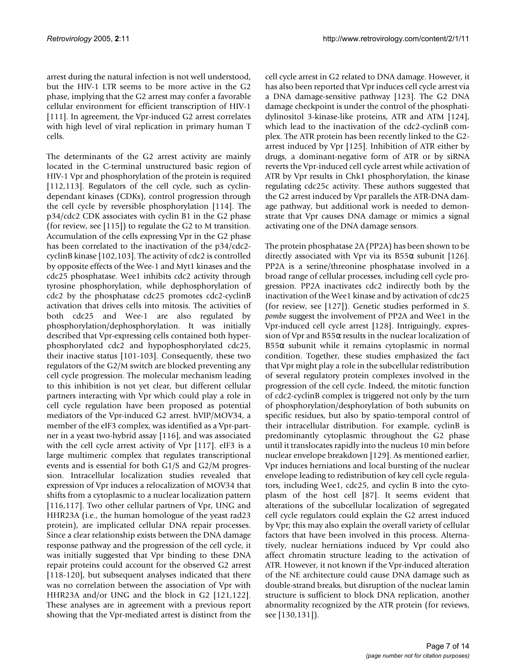arrest during the natural infection is not well understood, but the HIV-1 LTR seems to be more active in the G2 phase, implying that the G2 arrest may confer a favorable cellular environment for efficient transcription of HIV-1 [111]. In agreement, the Vpr-induced G2 arrest correlates with high level of viral replication in primary human T cells.

The determinants of the G2 arrest activity are mainly located in the C-terminal unstructured basic region of HIV-1 Vpr and phosphorylation of the protein is required [112,113]. Regulators of the cell cycle, such as cyclindependant kinases (CDKs), control progression through the cell cycle by reversible phosphorylation [114]. The p34/cdc2 CDK associates with cyclin B1 in the G2 phase (for review, see [115]) to regulate the G2 to M transition. Accumulation of the cells expressing Vpr in the G2 phase has been correlated to the inactivation of the p34/cdc2 cyclinB kinase [102,103]. The activity of cdc2 is controlled by opposite effects of the Wee-1 and Myt1 kinases and the cdc25 phosphatase. Wee1 inhibits cdc2 activity through tyrosine phosphorylation, while dephosphorylation of cdc2 by the phosphatase cdc25 promotes cdc2-cyclinB activation that drives cells into mitosis. The activities of both cdc25 and Wee-1 are also regulated by phosphorylation/dephosphorylation. It was initially described that Vpr-expressing cells contained both hyperphosphorylated cdc2 and hypophosphorylated cdc25, their inactive status [101-103]. Consequently, these two regulators of the G2/M switch are blocked preventing any cell cycle progression. The molecular mechanism leading to this inhibition is not yet clear, but different cellular partners interacting with Vpr which could play a role in cell cycle regulation have been proposed as potential mediators of the Vpr-induced G2 arrest. hVIP/MOV34, a member of the eIF3 complex, was identified as a Vpr-partner in a yeast two-hybrid assay [116], and was associated with the cell cycle arrest activity of Vpr [117]. eIF3 is a large multimeric complex that regulates transcriptional events and is essential for both G1/S and G2/M progression. Intracellular localization studies revealed that expression of Vpr induces a relocalization of MOV34 that shifts from a cytoplasmic to a nuclear localization pattern [116,117]. Two other cellular partners of Vpr, UNG and HHR23A (i.e., the human homologue of the yeast rad23 protein), are implicated cellular DNA repair processes. Since a clear relationship exists between the DNA damage response pathway and the progression of the cell cycle, it was initially suggested that Vpr binding to these DNA repair proteins could account for the observed G2 arrest [118-120], but subsequent analyses indicated that there was no correlation between the association of Vpr with HHR23A and/or UNG and the block in G2 [121,122]. These analyses are in agreement with a previous report showing that the Vpr-mediated arrest is distinct from the cell cycle arrest in G2 related to DNA damage. However, it has also been reported that Vpr induces cell cycle arrest via a DNA damage-sensitive pathway [123]. The G2 DNA damage checkpoint is under the control of the phosphatidylinositol 3-kinase-like proteins, ATR and ATM [124], which lead to the inactivation of the cdc2-cyclinB complex. The ATR protein has been recently linked to the G2 arrest induced by Vpr [125]. Inhibition of ATR either by drugs, a dominant-negative form of ATR or by siRNA reverts the Vpr-induced cell cycle arrest while activation of ATR by Vpr results in Chk1 phosphorylation, the kinase regulating cdc25c activity. These authors suggested that the G2 arrest induced by Vpr parallels the ATR-DNA damage pathway, but additional work is needed to demonstrate that Vpr causes DNA damage or mimics a signal activating one of the DNA damage sensors.

The protein phosphatase 2A (PP2A) has been shown to be directly associated with Vpr via its  $B55\alpha$  subunit [126]. PP2A is a serine/threonine phosphatase involved in a broad range of cellular processes, including cell cycle progression. PP2A inactivates cdc2 indirectly both by the inactivation of the Wee1 kinase and by activation of cdc25 (for review, see [127]). Genetic studies performed in *S. pombe* suggest the involvement of PP2A and Wee1 in the Vpr-induced cell cycle arrest [128]. Intriguingly, expression of Vpr and  $B55\alpha$  results in the nuclear localization of B55 $α$  subunit while it remains cytoplasmic in normal condition. Together, these studies emphasized the fact that Vpr might play a role in the subcellular redistribution of several regulatory protein complexes involved in the progression of the cell cycle. Indeed, the mitotic function of cdc2-cyclinB complex is triggered not only by the turn of phosphorylation/desphorylation of both subunits on specific residues, but also by spatio-temporal control of their intracellular distribution. For example, cyclinB is predominantly cytoplasmic throughout the G2 phase until it translocates rapidly into the nucleus 10 min before nuclear envelope breakdown [129]. As mentioned earlier, Vpr induces herniations and local bursting of the nuclear envelope leading to redistribution of key cell cycle regulators, including Wee1, cdc25, and cyclin B into the cytoplasm of the host cell [87]. It seems evident that alterations of the subcellular localization of segregated cell cycle regulators could explain the G2 arrest induced by Vpr; this may also explain the overall variety of cellular factors that have been involved in this process. Alternatively, nuclear herniations induced by Vpr could also affect chromatin structure leading to the activation of ATR. However, it not known if the Vpr-induced alteration of the NE architecture could cause DNA damage such as double-strand breaks, but disruption of the nuclear lamin structure is sufficient to block DNA replication, another abnormality recognized by the ATR protein (for reviews, see [130,131]).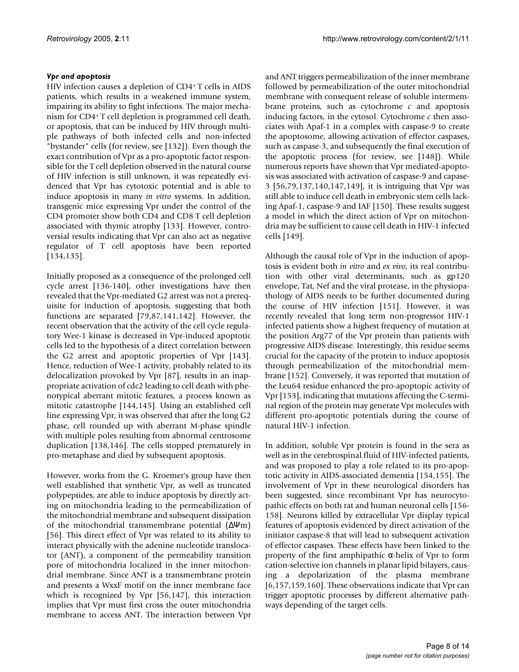### *Vpr and apoptosis*

HIV infection causes a depletion of CD4<sup>+</sup>T cells in AIDS patients, which results in a weakened immune system, impairing its ability to fight infections. The major mechanism for CD4<sup>+</sup>T cell depletion is programmed cell death, or apoptosis, that can be induced by HIV through multiple pathways of both infected cells and non-infected "bystander" cells (for review, see [132]). Even though the exact contribution of Vpr as a pro-apoptotic factor responsible for the T cell depletion observed in the natural course of HIV infection is still unknown, it was repeatedly evidenced that Vpr has cytotoxic potential and is able to induce apoptosis in many *in vitro* systems. In addition, transgenic mice expressing Vpr under the control of the CD4 promoter show both CD4 and CD8 T cell depletion associated with thymic atrophy [133]. However, controversial results indicating that Vpr can also act as negative regulator of T cell apoptosis have been reported [134,135].

Initially proposed as a consequence of the prolonged cell cycle arrest [136-140], other investigations have then revealed that the Vpr-mediated G2 arrest was not a prerequisite for induction of apoptosis, suggesting that both functions are separated [79,87,141,142]. However, the recent observation that the activity of the cell cycle regulatory Wee-1 kinase is decreased in Vpr-induced apoptotic cells led to the hypothesis of a direct correlation between the G2 arrest and apoptotic properties of Vpr [143]. Hence, reduction of Wee-1 activity, probably related to its delocalization provoked by Vpr [87], results in an inappropriate activation of cdc2 leading to cell death with phenotypical aberrant mitotic features, a process known as mitotic catastrophe [144,145]. Using an established cell line expressing Vpr, it was observed that after the long G2 phase, cell rounded up with aberrant M-phase spindle with multiple poles resulting from abnormal centrosome duplication [138,146]. The cells stopped prematurely in pro-metaphase and died by subsequent apoptosis.

However, works from the G. Kroemer's group have then well established that synthetic Vpr, as well as truncated polypeptides, are able to induce apoptosis by directly acting on mitochondria leading to the permeabilization of the mitochondrial membrane and subsequent dissipation of the mitochondrial transmembrane potential (∆Ψm) [56]. This direct effect of Vpr was related to its ability to interact physically with the adenine nucleotide translocator (ANT), a component of the permeability transition pore of mitochondria localized in the inner mitochondrial membrane. Since ANT is a transmembrane protein and presents a WxxF motif on the inner membrane face which is recognized by Vpr [56,147], this interaction implies that Vpr must first cross the outer mitochondria membrane to access ANT. The interaction between Vpr

and ANT triggers permeabilization of the inner membrane followed by permeabilization of the outer mitochondrial membrane with consequent release of soluble intermembrane proteins, such as cytochrome *c* and apoptosis inducing factors, in the cytosol. Cytochrome *c* then associates with Apaf-1 in a complex with caspase-9 to create the apoptosome, allowing activation of effector caspases, such as caspase-3, and subsequently the final execution of the apoptotic process (for review, see [148]). While numerous reports have shown that Vpr mediated-apoptosis was associated with activation of caspase-9 and capase-3 [56,79,137,140,147,149], it is intriguing that Vpr was still able to induce cell death in embryonic stem cells lacking Apaf-1, caspase-9 and IAF [150]. These results suggest a model in which the direct action of Vpr on mitochondria may be sufficient to cause cell death in HIV-1 infected cells [149].

Although the causal role of Vpr in the induction of apoptosis is evident both *in vitro* and *ex vivo*, its real contribution with other viral determinants, such as gp120 envelope, Tat, Nef and the viral protease, in the physiopathology of AIDS needs to be further documented during the course of HIV infection [151]. However, it was recently revealed that long term non-progressor HIV-1 infected patients show a highest frequency of mutation at the position Arg77 of the Vpr protein than patients with progressive AIDS disease. Interestingly, this residue seems crucial for the capacity of the protein to induce apoptosis through permeabilization of the mitochondrial membrane [152]. Conversely, it was reported that mutation of the Leu64 residue enhanced the pro-apoptopic activity of Vpr [153], indicating that mutations affecting the C-terminal region of the protein may generate Vpr molecules with different pro-apoptotic potentials during the course of natural HIV-1 infection.

In addition, soluble Vpr protein is found in the sera as well as in the cerebrospinal fluid of HIV-infected patients, and was proposed to play a role related to its pro-apoptotic activity in AIDS-associated dementia [154,155]. The involvement of Vpr in these neurological disorders has been suggested, since recombinant Vpr has neurocytopathic effects on both rat and human neuronal cells [156- 158]. Neurons killed by extracellular Vpr display typical features of apoptosis evidenced by direct activation of the initiator caspase-8 that will lead to subsequent activation of effector caspases. These effects have been linked to the property of the first amphipathic α-helix of Vpr to form cation-selective ion channels in planar lipid bilayers, causing a depolarization of the plasma membrane [6,157,159,160]. These observations indicate that Vpr can trigger apoptotic processes by different alternative pathways depending of the target cells.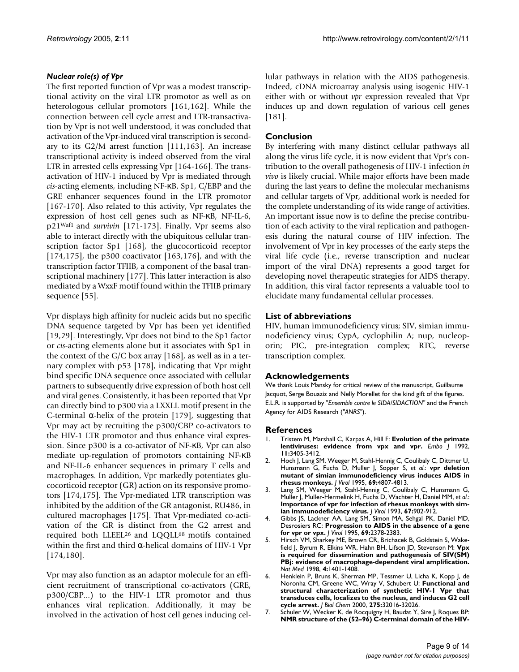### *Nuclear role(s) of Vpr*

The first reported function of Vpr was a modest transcriptional activity on the viral LTR promotor as well as on heterologous cellular promotors [161,162]. While the connection between cell cycle arrest and LTR-transactivation by Vpr is not well understood, it was concluded that activation of the Vpr-induced viral transcription is secondary to its G2/M arrest function [111,163]. An increase transcriptional activity is indeed observed from the viral LTR in arrested cells expressing Vpr [164-166]. The transactivation of HIV-1 induced by Vpr is mediated through *cis*-acting elements, including NF-κB, Sp1, C/EBP and the GRE enhancer sequences found in the LTR promotor [167-170]. Also related to this activity, Vpr regulates the expression of host cell genes such as NF-κB, NF-IL-6, p21Waf1 and *survivin* [171-173]. Finally, Vpr seems also able to interact directly with the ubiquitous cellular transcription factor Sp1 [168], the glucocorticoid receptor [174,175], the p300 coactivator [163,176], and with the transcription factor TFIIB, a component of the basal transcriptional machinery [177]. This latter interaction is also mediated by a WxxF motif found within the TFIIB primary sequence [55].

Vpr displays high affinity for nucleic acids but no specific DNA sequence targeted by Vpr has been yet identified [19,29]. Interestingly, Vpr does not bind to the Sp1 factor or *cis*-acting elements alone but it associates with Sp1 in the context of the G/C box array [168], as well as in a ternary complex with p53 [178], indicating that Vpr might bind specific DNA sequence once associated with cellular partners to subsequently drive expression of both host cell and viral genes. Consistently, it has been reported that Vpr can directly bind to p300 via a LXXLL motif present in the C-terminal α-helix of the protein [179], suggesting that Vpr may act by recruiting the p300/CBP co-activators to the HIV-1 LTR promotor and thus enhance viral expression. Since p300 is a co-activator of NF-κB, Vpr can also mediate up-regulation of promotors containing NF-κB and NF-IL-6 enhancer sequences in primary T cells and macrophages. In addition, Vpr markedly potentiates glucocorticoid receptor (GR) action on its responsive promotors [174,175]. The Vpr-mediated LTR transcription was inhibited by the addition of the GR antagonist, RU486, in cultured macrophages [175]. That Vpr-mediated co-activation of the GR is distinct from the G2 arrest and required both LLEEL<sup>26</sup> and LQQLL<sup>68</sup> motifs contained within the first and third  $\alpha$ -helical domains of HIV-1 Vpr [174,180].

Vpr may also function as an adaptor molecule for an efficient recruitment of transcriptional co-activators (GRE, p300/CBP...) to the HIV-1 LTR promotor and thus enhances viral replication. Additionally, it may be involved in the activation of host cell genes inducing cellular pathways in relation with the AIDS pathogenesis. Indeed, cDNA microarray analysis using isogenic HIV-1 either with or without *vpr* expression revealed that Vpr induces up and down regulation of various cell genes [181].

## **Conclusion**

By interfering with many distinct cellular pathways all along the virus life cycle, it is now evident that Vpr's contribution to the overall pathogenesis of HIV-1 infection *in vivo* is likely crucial. While major efforts have been made during the last years to define the molecular mechanisms and cellular targets of Vpr, additional work is needed for the complete understanding of its wide range of activities. An important issue now is to define the precise contribution of each activity to the viral replication and pathogenesis during the natural course of HIV infection. The involvement of Vpr in key processes of the early steps the viral life cycle (i.e., reverse transcription and nuclear import of the viral DNA) represents a good target for developing novel therapeutic strategies for AIDS therapy. In addition, this viral factor represents a valuable tool to elucidate many fundamental cellular processes.

### **List of abbreviations**

HIV, human immunodeficiency virus; SIV, simian immunodeficiency virus; CypA, cyclophilin A; nup, nucleoporin; PIC, pre-integration complex; RTC, reverse transcription complex.

#### **Acknowledgements**

We thank Louis Mansky for critical review of the manuscript, Guillaume Jacquot, Serge Bouaziz and Nelly Morellet for the kind gift of the figures. E.L.R. is supported by *"Ensemble contre le SIDA/SIDACTION"* and the French Agency for AIDS Research (*"ANRS"*).

#### **References**

- 1. Tristem M, Marshall C, Karpas A, Hill F: **[Evolution of the primate](http://www.ncbi.nlm.nih.gov/entrez/query.fcgi?cmd=Retrieve&db=PubMed&dopt=Abstract&list_uids=1324171) [lentiviruses: evidence from vpx and vpr.](http://www.ncbi.nlm.nih.gov/entrez/query.fcgi?cmd=Retrieve&db=PubMed&dopt=Abstract&list_uids=1324171)** *Embo J* 1992, **11:**3405-3412.
- 2. Hoch J, Lang SM, Weeger M, Stahl-Hennig C, Coulibaly C, Dittmer U, Hunsmann G, Fuchs D, Muller J, Sopper S, *et al.*: **[vpr deletion](http://www.ncbi.nlm.nih.gov/entrez/query.fcgi?cmd=Retrieve&db=PubMed&dopt=Abstract&list_uids=7609047) [mutant of simian immunodeficiency virus induces AIDS in](http://www.ncbi.nlm.nih.gov/entrez/query.fcgi?cmd=Retrieve&db=PubMed&dopt=Abstract&list_uids=7609047) [rhesus monkeys.](http://www.ncbi.nlm.nih.gov/entrez/query.fcgi?cmd=Retrieve&db=PubMed&dopt=Abstract&list_uids=7609047)** *J Virol* 1995, **69:**4807-4813.
- 3. Lang SM, Weeger M, Stahl-Hennig C, Coulibaly C, Hunsmann G, Muller J, Muller-Hermelink H, Fuchs D, Wachter H, Daniel MM, *et al.*: **[Importance of vpr for infection of rhesus monkeys with sim](http://www.ncbi.nlm.nih.gov/entrez/query.fcgi?cmd=Retrieve&db=PubMed&dopt=Abstract&list_uids=8380472)[ian immunodeficiency virus.](http://www.ncbi.nlm.nih.gov/entrez/query.fcgi?cmd=Retrieve&db=PubMed&dopt=Abstract&list_uids=8380472)** *J Virol* 1993, **67:**902-912.
- 4. Gibbs JS, Lackner AA, Lang SM, Simon MA, Sehgal PK, Daniel MD, Desrosiers RC: **[Progression to AIDS in the absence of a gene](http://www.ncbi.nlm.nih.gov/entrez/query.fcgi?cmd=Retrieve&db=PubMed&dopt=Abstract&list_uids=7884883) [for vpr or vpx.](http://www.ncbi.nlm.nih.gov/entrez/query.fcgi?cmd=Retrieve&db=PubMed&dopt=Abstract&list_uids=7884883)** *J Virol* 1995, **69:**2378-2383.
- Hirsch VM, Sharkey ME, Brown CR, Brichacek B, Goldstein S, Wakefield J, Byrum R, Elkins WR, Hahn BH, Lifson JD, Stevenson M: **[Vpx](http://www.ncbi.nlm.nih.gov/entrez/query.fcgi?cmd=Retrieve&db=PubMed&dopt=Abstract&list_uids=9846578) is required for dissemination and pathogenesis of SIV(SM) [PBj: evidence of macrophage-dependent viral amplification.](http://www.ncbi.nlm.nih.gov/entrez/query.fcgi?cmd=Retrieve&db=PubMed&dopt=Abstract&list_uids=9846578)** *Nat Med* 1998, **4:**1401-1408.
- 6. Henklein P, Bruns K, Sherman MP, Tessmer U, Licha K, Kopp J, de Noronha CM, Greene WC, Wray V, Schubert U: **[Functional and](http://www.ncbi.nlm.nih.gov/entrez/query.fcgi?cmd=Retrieve&db=PubMed&dopt=Abstract&list_uids=10903315) structural characterization of synthetic HIV-1 Vpr that [transduces cells, localizes to the nucleus, and induces G2 cell](http://www.ncbi.nlm.nih.gov/entrez/query.fcgi?cmd=Retrieve&db=PubMed&dopt=Abstract&list_uids=10903315) [cycle arrest.](http://www.ncbi.nlm.nih.gov/entrez/query.fcgi?cmd=Retrieve&db=PubMed&dopt=Abstract&list_uids=10903315)** *J Biol Chem* 2000, **275:**32016-32026.
- 7. Schuler W, Wecker K, de Rocquigny H, Baudat Y, Sire J, Roques BP: **[NMR structure of the \(52–96\) C-terminal domain of the HIV](http://www.ncbi.nlm.nih.gov/entrez/query.fcgi?cmd=Retrieve&db=PubMed&dopt=Abstract&list_uids=9925788)-**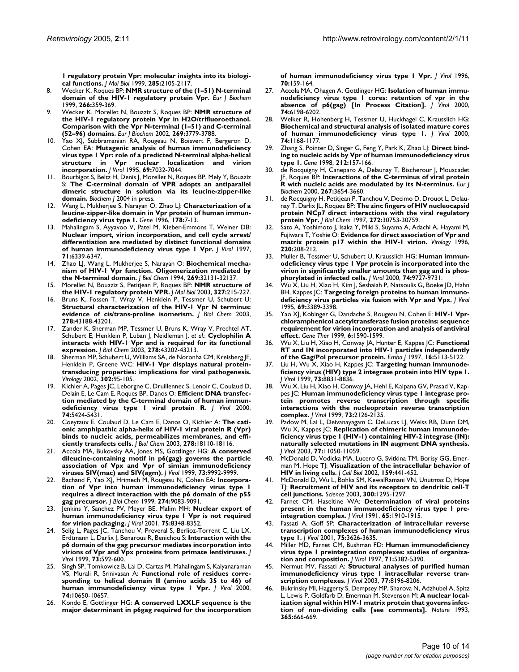**[1 regulatory protein Vpr: molecular insights into its biologi](http://www.ncbi.nlm.nih.gov/entrez/query.fcgi?cmd=Retrieve&db=PubMed&dopt=Abstract&list_uids=9925788)[cal functions.](http://www.ncbi.nlm.nih.gov/entrez/query.fcgi?cmd=Retrieve&db=PubMed&dopt=Abstract&list_uids=9925788)** *J Mol Biol* 1999, **285:**2105-2117.

- 8. Wecker K, Roques BP: **[NMR structure of the \(1–51\) N-terminal](http://www.ncbi.nlm.nih.gov/entrez/query.fcgi?cmd=Retrieve&db=PubMed&dopt=Abstract&list_uids=10561576) [domain of the HIV-1 regulatory protein Vpr.](http://www.ncbi.nlm.nih.gov/entrez/query.fcgi?cmd=Retrieve&db=PubMed&dopt=Abstract&list_uids=10561576)** *Eur J Biochem* 1999, **266:**359-369.
- 9. Wecker K, Morellet N, Bouaziz S, Roques BP: **[NMR structure of](http://www.ncbi.nlm.nih.gov/entrez/query.fcgi?cmd=Retrieve&db=PubMed&dopt=Abstract&list_uids=12153575) [the HIV-1 regulatory protein Vpr in H2O/trifluoroethanol.](http://www.ncbi.nlm.nih.gov/entrez/query.fcgi?cmd=Retrieve&db=PubMed&dopt=Abstract&list_uids=12153575) Comparison with the Vpr N-terminal (1–51) and C-terminal [\(52–96\) domains.](http://www.ncbi.nlm.nih.gov/entrez/query.fcgi?cmd=Retrieve&db=PubMed&dopt=Abstract&list_uids=12153575)** *Eur J Biochem* 2002, **269:**3779-3788.
- 10. Yao XJ, Subbramanian RA, Rougeau N, Boisvert F, Bergeron D, Cohen EA: **[Mutagenic analysis of human immunodeficiency](http://www.ncbi.nlm.nih.gov/entrez/query.fcgi?cmd=Retrieve&db=PubMed&dopt=Abstract&list_uids=7474123) [virus type 1 Vpr: role of a predicted N-terminal alpha-helical](http://www.ncbi.nlm.nih.gov/entrez/query.fcgi?cmd=Retrieve&db=PubMed&dopt=Abstract&list_uids=7474123) structure in Vpr nuclear localization and virion [incorporation.](http://www.ncbi.nlm.nih.gov/entrez/query.fcgi?cmd=Retrieve&db=PubMed&dopt=Abstract&list_uids=7474123)** *J Virol* 1995, **69:**7032-7044.
- 11. Bourbigot S, Beltz H, Denis J, Morellet N, Roques BP, Mely Y, Bouaziz S: **The C-terminal domain of VPR adopts an antiparallel dimeric structure in solution via its leucine-zipper-like domain.** *Biochem J* 2004 in press.
- 12. Wang L, Mukherjee S, Narayan O, Zhao LJ: **[Characterization of a](http://www.ncbi.nlm.nih.gov/entrez/query.fcgi?cmd=Retrieve&db=PubMed&dopt=Abstract&list_uids=8921884) [leucine-zipper-like domain in Vpr protein of human immun](http://www.ncbi.nlm.nih.gov/entrez/query.fcgi?cmd=Retrieve&db=PubMed&dopt=Abstract&list_uids=8921884)[odeficiency virus type 1.](http://www.ncbi.nlm.nih.gov/entrez/query.fcgi?cmd=Retrieve&db=PubMed&dopt=Abstract&list_uids=8921884)** *Gene* 1996, **178:**7-13.
- 13. Mahalingam S, Ayyavoo V, Patel M, Kieber-Emmons T, Weiner DB: **[Nuclear import, virion incorporation, and cell cycle arrest/](http://www.ncbi.nlm.nih.gov/entrez/query.fcgi?cmd=Retrieve&db=PubMed&dopt=Abstract&list_uids=9261351) differentiation are mediated by distinct functional domains [of human immunodeficiency virus type 1 Vpr.](http://www.ncbi.nlm.nih.gov/entrez/query.fcgi?cmd=Retrieve&db=PubMed&dopt=Abstract&list_uids=9261351)** *J Virol* 1997, **71:**6339-6347.
- 14. Zhao LJ, Wang L, Mukherjee S, Narayan O: **[Biochemical mecha](http://www.ncbi.nlm.nih.gov/entrez/query.fcgi?cmd=Retrieve&db=PubMed&dopt=Abstract&list_uids=7798208)[nism of HIV-1 Vpr function. Oligomerization mediated by](http://www.ncbi.nlm.nih.gov/entrez/query.fcgi?cmd=Retrieve&db=PubMed&dopt=Abstract&list_uids=7798208) [the N-terminal domain.](http://www.ncbi.nlm.nih.gov/entrez/query.fcgi?cmd=Retrieve&db=PubMed&dopt=Abstract&list_uids=7798208)** *J Biol Chem* 1994, **269:**32131-32137.
- 15. Morellet N, Bouaziz S, Petitjean P, Roques BP: **[NMR structure of](http://www.ncbi.nlm.nih.gov/entrez/query.fcgi?cmd=Retrieve&db=PubMed&dopt=Abstract&list_uids=12614620) [the HIV-1 regulatory protein VPR.](http://www.ncbi.nlm.nih.gov/entrez/query.fcgi?cmd=Retrieve&db=PubMed&dopt=Abstract&list_uids=12614620)** *J Mol Biol* 2003, **327:**215-227.
- Bruns K, Fossen T, Wray V, Henklein P, Tessmer U, Schubert U: **[Structural characterization of the HIV-1 Vpr N terminus:](http://www.ncbi.nlm.nih.gov/entrez/query.fcgi?cmd=Retrieve&db=PubMed&dopt=Abstract&list_uids=12881523) [evidence of cis/trans-proline isomerism.](http://www.ncbi.nlm.nih.gov/entrez/query.fcgi?cmd=Retrieve&db=PubMed&dopt=Abstract&list_uids=12881523)** *J Biol Chem* 2003, **278:**43188-43201.
- 17. Zander K, Sherman MP, Tessmer U, Bruns K, Wray V, Prechtel AT, Schubert E, Henklein P, Luban J, Neidleman J, *et al.*: **[Cyclophilin A](http://www.ncbi.nlm.nih.gov/entrez/query.fcgi?cmd=Retrieve&db=PubMed&dopt=Abstract&list_uids=12881522) [interacts with HIV-1 Vpr and is required for its functional](http://www.ncbi.nlm.nih.gov/entrez/query.fcgi?cmd=Retrieve&db=PubMed&dopt=Abstract&list_uids=12881522) [expression.](http://www.ncbi.nlm.nih.gov/entrez/query.fcgi?cmd=Retrieve&db=PubMed&dopt=Abstract&list_uids=12881522)** *J Biol Chem* 2003, **278:**43202-43213.
- 18. Sherman MP, Schubert U, Williams SA, de Noronha CM, Kreisberg JF, Henklein P, Greene WC: **[HIV-1 Vpr displays natural protein](http://www.ncbi.nlm.nih.gov/entrez/query.fcgi?cmd=Retrieve&db=PubMed&dopt=Abstract&list_uids=12429519)[transducing properties: implications for viral pathogenesis.](http://www.ncbi.nlm.nih.gov/entrez/query.fcgi?cmd=Retrieve&db=PubMed&dopt=Abstract&list_uids=12429519)** *Virology* 2002, **302:**95-105.
- 19. Kichler A, Pages JC, Leborgne C, Druillennec S, Lenoir C, Coulaud D, Delain E, Le Cam E, Roques BP, Danos O: **[Efficient DNA transfec](http://www.ncbi.nlm.nih.gov/entrez/query.fcgi?cmd=Retrieve&db=PubMed&dopt=Abstract&list_uids=10823846)[tion mediated by the C-terminal domain of human immun](http://www.ncbi.nlm.nih.gov/entrez/query.fcgi?cmd=Retrieve&db=PubMed&dopt=Abstract&list_uids=10823846)[odeficiency virus type 1 viral protein R.](http://www.ncbi.nlm.nih.gov/entrez/query.fcgi?cmd=Retrieve&db=PubMed&dopt=Abstract&list_uids=10823846)** *J Virol* 2000, **74:**5424-5431.
- 20. Coeytaux E, Coulaud D, Le Cam E, Danos O, Kichler A: **[The cati](http://www.ncbi.nlm.nih.gov/entrez/query.fcgi?cmd=Retrieve&db=PubMed&dopt=Abstract&list_uids=12639957)[onic amphipathic alpha-helix of HIV-1 viral protein R \(Vpr\)](http://www.ncbi.nlm.nih.gov/entrez/query.fcgi?cmd=Retrieve&db=PubMed&dopt=Abstract&list_uids=12639957) binds to nucleic acids, permeabilizes membranes, and effi[ciently transfects cells.](http://www.ncbi.nlm.nih.gov/entrez/query.fcgi?cmd=Retrieve&db=PubMed&dopt=Abstract&list_uids=12639957)** *J Biol Chem* 2003, **278:**18110-18116.
- 21. Accola MA, Bukovsky AA, Jones MS, Gottlinger HG: **[A conserved](http://www.ncbi.nlm.nih.gov/entrez/query.fcgi?cmd=Retrieve&db=PubMed&dopt=Abstract&list_uids=10559313) [dileucine-containing motif in p6\(gag\) governs the particle](http://www.ncbi.nlm.nih.gov/entrez/query.fcgi?cmd=Retrieve&db=PubMed&dopt=Abstract&list_uids=10559313) association of Vpx and Vpr of simian immunodeficiency [viruses SIV\(mac\) and SIV\(agm\).](http://www.ncbi.nlm.nih.gov/entrez/query.fcgi?cmd=Retrieve&db=PubMed&dopt=Abstract&list_uids=10559313)** *J Virol* 1999, **73:**9992-9999.
- 22. Bachand F, Yao XJ, Hrimech M, Rougeau N, Cohen EA: **[Incorpora](http://www.ncbi.nlm.nih.gov/entrez/query.fcgi?cmd=Retrieve&db=PubMed&dopt=Abstract&list_uids=10085158)[tion of Vpr into human immunodeficiency virus type 1](http://www.ncbi.nlm.nih.gov/entrez/query.fcgi?cmd=Retrieve&db=PubMed&dopt=Abstract&list_uids=10085158) requires a direct interaction with the p6 domain of the p55 [gag precursor.](http://www.ncbi.nlm.nih.gov/entrez/query.fcgi?cmd=Retrieve&db=PubMed&dopt=Abstract&list_uids=10085158)** *J Biol Chem* 1999, **274:**9083-9091.
- 23. Jenkins Y, Sanchez PV, Meyer BE, Malim MH: **[Nuclear export of](http://www.ncbi.nlm.nih.gov/entrez/query.fcgi?cmd=Retrieve&db=PubMed&dopt=Abstract&list_uids=11483780) [human immunodeficiency virus type 1 Vpr is not required](http://www.ncbi.nlm.nih.gov/entrez/query.fcgi?cmd=Retrieve&db=PubMed&dopt=Abstract&list_uids=11483780) [for virion packaging.](http://www.ncbi.nlm.nih.gov/entrez/query.fcgi?cmd=Retrieve&db=PubMed&dopt=Abstract&list_uids=11483780)** *J Virol* 2001, **75:**8348-8352.
- 24. Selig L, Pages JC, Tanchou V, Preveral S, Berlioz-Torrent C, Liu LX, Erdtmann L, Darlix J, Benarous R, Benichou S: **[Interaction with the](http://www.ncbi.nlm.nih.gov/entrez/query.fcgi?cmd=Retrieve&db=PubMed&dopt=Abstract&list_uids=9847364) [p6 domain of the gag precursor mediates incorporation into](http://www.ncbi.nlm.nih.gov/entrez/query.fcgi?cmd=Retrieve&db=PubMed&dopt=Abstract&list_uids=9847364) [virions of Vpr and Vpx proteins from primate lentiviruses.](http://www.ncbi.nlm.nih.gov/entrez/query.fcgi?cmd=Retrieve&db=PubMed&dopt=Abstract&list_uids=9847364)** *J Virol* 1999, **73:**592-600.
- 25. Singh SP, Tomkowicz B, Lai D, Cartas M, Mahalingam S, Kalyanaraman VS, Murali R, Srinivasan A: **[Functional role of residues corre](http://www.ncbi.nlm.nih.gov/entrez/query.fcgi?cmd=Retrieve&db=PubMed&dopt=Abstract&list_uids=11044109)[sponding to helical domain II \(amino acids 35 to 46\) of](http://www.ncbi.nlm.nih.gov/entrez/query.fcgi?cmd=Retrieve&db=PubMed&dopt=Abstract&list_uids=11044109) [human immunodeficiency virus type 1 Vpr.](http://www.ncbi.nlm.nih.gov/entrez/query.fcgi?cmd=Retrieve&db=PubMed&dopt=Abstract&list_uids=11044109)** *J Virol* 2000, **74:**10650-10657.
- 26. Kondo E, Gottlinger HG: **[A conserved LXXLF sequence is the](http://www.ncbi.nlm.nih.gov/entrez/query.fcgi?cmd=Retrieve&db=PubMed&dopt=Abstract&list_uids=8523520) [major determinant in p6gag required for the incorporation](http://www.ncbi.nlm.nih.gov/entrez/query.fcgi?cmd=Retrieve&db=PubMed&dopt=Abstract&list_uids=8523520)**

**[of human immunodeficiency virus type 1 Vpr.](http://www.ncbi.nlm.nih.gov/entrez/query.fcgi?cmd=Retrieve&db=PubMed&dopt=Abstract&list_uids=8523520)** *J Virol* 1996, **70:**159-164.

- 27. Accola MA, Ohagen A, Gottlinger HG: **[Isolation of human immu](http://www.ncbi.nlm.nih.gov/entrez/query.fcgi?cmd=Retrieve&db=PubMed&dopt=Abstract&list_uids=10846106)[nodeficiency virus type 1 cores: retention of vpr in the](http://www.ncbi.nlm.nih.gov/entrez/query.fcgi?cmd=Retrieve&db=PubMed&dopt=Abstract&list_uids=10846106) [absence of p6\(gag\) \[In Process Citation\].](http://www.ncbi.nlm.nih.gov/entrez/query.fcgi?cmd=Retrieve&db=PubMed&dopt=Abstract&list_uids=10846106)** *J Virol* 2000, **74:**6198-6202.
- 28. Welker R, Hohenberg H, Tessmer U, Huckhagel C, Krausslich HG: **[Biochemical and structural analysis of isolated mature cores](http://www.ncbi.nlm.nih.gov/entrez/query.fcgi?cmd=Retrieve&db=PubMed&dopt=Abstract&list_uids=10627527) [of human immunodeficiency virus type 1.](http://www.ncbi.nlm.nih.gov/entrez/query.fcgi?cmd=Retrieve&db=PubMed&dopt=Abstract&list_uids=10627527)** *J Virol* 2000, **74:**1168-1177.
- 29. Zhang S, Pointer D, Singer G, Feng Y, Park K, Zhao LJ: **[Direct bind](http://www.ncbi.nlm.nih.gov/entrez/query.fcgi?cmd=Retrieve&db=PubMed&dopt=Abstract&list_uids=9611258)[ing to nucleic acids by Vpr of human immunodeficiency virus](http://www.ncbi.nlm.nih.gov/entrez/query.fcgi?cmd=Retrieve&db=PubMed&dopt=Abstract&list_uids=9611258) [type 1.](http://www.ncbi.nlm.nih.gov/entrez/query.fcgi?cmd=Retrieve&db=PubMed&dopt=Abstract&list_uids=9611258)** *Gene* 1998, **212:**157-166.
- de Rocquigny H, Caneparo A, Delaunay T, Bischerour J, Mouscadet JF, Roques BP: **[Interactions of the C-terminus of viral protein](http://www.ncbi.nlm.nih.gov/entrez/query.fcgi?cmd=Retrieve&db=PubMed&dopt=Abstract&list_uids=10848983) [R with nucleic acids are modulated by its N-terminus.](http://www.ncbi.nlm.nih.gov/entrez/query.fcgi?cmd=Retrieve&db=PubMed&dopt=Abstract&list_uids=10848983)** *Eur J Biochem* 2000, **267:**3654-3660.
- 31. de Rocquigny H, Petitjean P, Tanchou V, Decimo D, Drouot L, Delaunay T, Darlix JL, Roques BP: **[The zinc fingers of HIV nucleocapsid](http://www.ncbi.nlm.nih.gov/entrez/query.fcgi?cmd=Retrieve&db=PubMed&dopt=Abstract&list_uids=9388214) [protein NCp7 direct interactions with the viral regulatory](http://www.ncbi.nlm.nih.gov/entrez/query.fcgi?cmd=Retrieve&db=PubMed&dopt=Abstract&list_uids=9388214) [protein Vpr.](http://www.ncbi.nlm.nih.gov/entrez/query.fcgi?cmd=Retrieve&db=PubMed&dopt=Abstract&list_uids=9388214)** *J Biol Chem* 1997, **272:**30753-30759.
- 32. Sato A, Yoshimoto J, Isaka Y, Miki S, Suyama A, Adachi A, Hayami M, Fujiwara T, Yoshie O: **[Evidence for direct association of Vpr and](http://www.ncbi.nlm.nih.gov/entrez/query.fcgi?cmd=Retrieve&db=PubMed&dopt=Abstract&list_uids=8659115) [matrix protein p17 within the HIV-1 virion.](http://www.ncbi.nlm.nih.gov/entrez/query.fcgi?cmd=Retrieve&db=PubMed&dopt=Abstract&list_uids=8659115)** *Virology* 1996, **220:**208-212.
- 33. Muller B, Tessmer U, Schubert U, Krausslich HG: **[Human immun](http://www.ncbi.nlm.nih.gov/entrez/query.fcgi?cmd=Retrieve&db=PubMed&dopt=Abstract&list_uids=11000245)odeficiency virus type 1 Vpr protein is incorporated into the [virion in significantly smaller amounts than gag and is phos](http://www.ncbi.nlm.nih.gov/entrez/query.fcgi?cmd=Retrieve&db=PubMed&dopt=Abstract&list_uids=11000245)[phorylated in infected cells.](http://www.ncbi.nlm.nih.gov/entrez/query.fcgi?cmd=Retrieve&db=PubMed&dopt=Abstract&list_uids=11000245)** *J Virol* 2000, **74:**9727-9731.
- 34. Wu X, Liu H, Xiao H, Kim J, Seshaiah P, Natsoulis G, Boeke JD, Hahn BH, Kappes JC: **[Targeting foreign proteins to human immuno](http://www.ncbi.nlm.nih.gov/entrez/query.fcgi?cmd=Retrieve&db=PubMed&dopt=Abstract&list_uids=7745685)[deficiency virus particles via fusion with Vpr and Vpx.](http://www.ncbi.nlm.nih.gov/entrez/query.fcgi?cmd=Retrieve&db=PubMed&dopt=Abstract&list_uids=7745685)** *J Virol* 1995, **69:**3389-3398.
- 35. Yao XJ, Kobinger G, Dandache S, Rougeau N, Cohen E: **[HIV-1 Vpr](http://www.ncbi.nlm.nih.gov/entrez/query.fcgi?cmd=Retrieve&db=PubMed&dopt=Abstract&list_uids=10490769)[chloramphenicol acetyltransferase fusion proteins: sequence](http://www.ncbi.nlm.nih.gov/entrez/query.fcgi?cmd=Retrieve&db=PubMed&dopt=Abstract&list_uids=10490769) requirement for virion incorporation and analysis of antiviral [effect.](http://www.ncbi.nlm.nih.gov/entrez/query.fcgi?cmd=Retrieve&db=PubMed&dopt=Abstract&list_uids=10490769)** *Gene Ther* 1999, **6:**1590-1599.
- 36. Wu X, Liu H, Xiao H, Conway JA, Hunter E, Kappes JC: **[Functional](http://www.ncbi.nlm.nih.gov/entrez/query.fcgi?cmd=Retrieve&db=PubMed&dopt=Abstract&list_uids=9305652) [RT and IN incorporated into HIV-1 particles independently](http://www.ncbi.nlm.nih.gov/entrez/query.fcgi?cmd=Retrieve&db=PubMed&dopt=Abstract&list_uids=9305652) [of the Gag/Pol precursor protein.](http://www.ncbi.nlm.nih.gov/entrez/query.fcgi?cmd=Retrieve&db=PubMed&dopt=Abstract&list_uids=9305652)** *Embo J* 1997, **16:**5113-5122.
- 37. Liu H, Wu X, Xiao H, Kappes JC: **[Targeting human immunode](http://www.ncbi.nlm.nih.gov/entrez/query.fcgi?cmd=Retrieve&db=PubMed&dopt=Abstract&list_uids=10482639)[ficiency virus \(HIV\) type 2 integrase protein into HIV type 1.](http://www.ncbi.nlm.nih.gov/entrez/query.fcgi?cmd=Retrieve&db=PubMed&dopt=Abstract&list_uids=10482639)** *J Virol* 1999, **73:**8831-8836.
- 38. Wu X, Liu H, Xiao H, Conway JA, Hehl E, Kalpana GV, Prasad V, Kappes JC: **[Human immunodeficiency virus type 1 integrase pro](http://www.ncbi.nlm.nih.gov/entrez/query.fcgi?cmd=Retrieve&db=PubMed&dopt=Abstract&list_uids=9971795)tein promotes reverse transcription through specific [interactions with the nucleoprotein reverse transcription](http://www.ncbi.nlm.nih.gov/entrez/query.fcgi?cmd=Retrieve&db=PubMed&dopt=Abstract&list_uids=9971795) [complex.](http://www.ncbi.nlm.nih.gov/entrez/query.fcgi?cmd=Retrieve&db=PubMed&dopt=Abstract&list_uids=9971795)** *J Virol* 1999, **73:**2126-2135.
- 39. Padow M, Lai L, Deivanayagam C, DeLucas LJ, Weiss RB, Dunn DM, Wu X, Kappes JC: **[Replication of chimeric human immunode](http://www.ncbi.nlm.nih.gov/entrez/query.fcgi?cmd=Retrieve&db=PubMed&dopt=Abstract&list_uids=14512553)[ficiency virus type 1 \(HIV-1\) containing HIV-2 integrase \(IN\):](http://www.ncbi.nlm.nih.gov/entrez/query.fcgi?cmd=Retrieve&db=PubMed&dopt=Abstract&list_uids=14512553) naturally selected mutations in IN augment DNA synthesis.** *J Virol* 2003, **77:**11050-11059.
- 40. McDonald D, Vodicka MA, Lucero G, Svitkina TM, Borisy GG, Emerman M, Hope TJ: **[Visualization of the intracellular behavior of](http://www.ncbi.nlm.nih.gov/entrez/query.fcgi?cmd=Retrieve&db=PubMed&dopt=Abstract&list_uids=12417576) [HIV in living cells.](http://www.ncbi.nlm.nih.gov/entrez/query.fcgi?cmd=Retrieve&db=PubMed&dopt=Abstract&list_uids=12417576)** *J Cell Biol* 2002, **159:**441-452.
- 41. McDonald D, Wu L, Bohks SM, KewalRamani VN, Unutmaz D, Hope TJ: **[Recruitment of HIV and its receptors to dendritic cell-T](http://www.ncbi.nlm.nih.gov/entrez/query.fcgi?cmd=Retrieve&db=PubMed&dopt=Abstract&list_uids=12730499) [cell junctions.](http://www.ncbi.nlm.nih.gov/entrez/query.fcgi?cmd=Retrieve&db=PubMed&dopt=Abstract&list_uids=12730499)** *Science* 2003, **300:**1295-1297.
- 42. Farnet CM, Haseltine WA: **[Determination of viral proteins](http://www.ncbi.nlm.nih.gov/entrez/query.fcgi?cmd=Retrieve&db=PubMed&dopt=Abstract&list_uids=2002549) [present in the human immunodeficiency virus type 1 pre](http://www.ncbi.nlm.nih.gov/entrez/query.fcgi?cmd=Retrieve&db=PubMed&dopt=Abstract&list_uids=2002549)[integration complex.](http://www.ncbi.nlm.nih.gov/entrez/query.fcgi?cmd=Retrieve&db=PubMed&dopt=Abstract&list_uids=2002549)** *J Virol* 1991, **65:**1910-1915.
- 43. Fassati A, Goff SP: **[Characterization of intracellular reverse](http://www.ncbi.nlm.nih.gov/entrez/query.fcgi?cmd=Retrieve&db=PubMed&dopt=Abstract&list_uids=11264352) [transcription complexes of human immunodeficiency virus](http://www.ncbi.nlm.nih.gov/entrez/query.fcgi?cmd=Retrieve&db=PubMed&dopt=Abstract&list_uids=11264352) [type 1.](http://www.ncbi.nlm.nih.gov/entrez/query.fcgi?cmd=Retrieve&db=PubMed&dopt=Abstract&list_uids=11264352)** *J Virol* 2001, **75:**3626-3635.
- 44. Miller MD, Farnet CM, Bushman FD: **[Human immunodeficiency](http://www.ncbi.nlm.nih.gov/entrez/query.fcgi?cmd=Retrieve&db=PubMed&dopt=Abstract&list_uids=9188609) [virus type 1 preintegration complexes: studies of organiza](http://www.ncbi.nlm.nih.gov/entrez/query.fcgi?cmd=Retrieve&db=PubMed&dopt=Abstract&list_uids=9188609)[tion and composition.](http://www.ncbi.nlm.nih.gov/entrez/query.fcgi?cmd=Retrieve&db=PubMed&dopt=Abstract&list_uids=9188609)** *J Virol* 1997, **71:**5382-5390.
- 45. Nermut MV, Fassati A: **[Structural analyses of purified human](http://www.ncbi.nlm.nih.gov/entrez/query.fcgi?cmd=Retrieve&db=PubMed&dopt=Abstract&list_uids=12857888) [immunodeficiency virus type 1 intracellular reverse tran](http://www.ncbi.nlm.nih.gov/entrez/query.fcgi?cmd=Retrieve&db=PubMed&dopt=Abstract&list_uids=12857888)[scription complexes.](http://www.ncbi.nlm.nih.gov/entrez/query.fcgi?cmd=Retrieve&db=PubMed&dopt=Abstract&list_uids=12857888)** *J Virol* 2003, **77:**8196-8206.
- 46. Bukrinsky MI, Haggerty S, Dempsey MP, Sharova N, Adzhubel A, Spitz L, Lewis P, Goldfarb D, Emerman M, Stevenson M: **[A nuclear local](http://www.ncbi.nlm.nih.gov/entrez/query.fcgi?cmd=Retrieve&db=PubMed&dopt=Abstract&list_uids=8105392)[ization signal within HIV-1 matrix protein that governs infec](http://www.ncbi.nlm.nih.gov/entrez/query.fcgi?cmd=Retrieve&db=PubMed&dopt=Abstract&list_uids=8105392)[tion of non-dividing cells \[see comments\].](http://www.ncbi.nlm.nih.gov/entrez/query.fcgi?cmd=Retrieve&db=PubMed&dopt=Abstract&list_uids=8105392)** *Nature* 1993, **365:**666-669.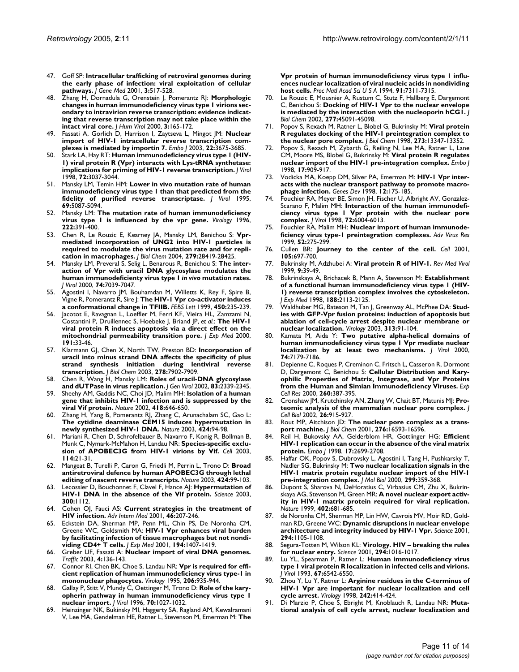- 47. Goff SP: **[Intracellular trafficking of retroviral genomes during](http://www.ncbi.nlm.nih.gov/entrez/query.fcgi?cmd=Retrieve&db=PubMed&dopt=Abstract&list_uids=11778899) [the early phase of infection: viral exploitation of cellular](http://www.ncbi.nlm.nih.gov/entrez/query.fcgi?cmd=Retrieve&db=PubMed&dopt=Abstract&list_uids=11778899) [pathways.](http://www.ncbi.nlm.nih.gov/entrez/query.fcgi?cmd=Retrieve&db=PubMed&dopt=Abstract&list_uids=11778899)** *J Gene Med* 2001, **3:**517-528.
- 48. Zhang H, Dornadula G, Orenstein J, Pomerantz RJ: **[Morphologic](http://www.ncbi.nlm.nih.gov/entrez/query.fcgi?cmd=Retrieve&db=PubMed&dopt=Abstract&list_uids=10881997) [changes in human immunodeficiency virus type 1 virions sec](http://www.ncbi.nlm.nih.gov/entrez/query.fcgi?cmd=Retrieve&db=PubMed&dopt=Abstract&list_uids=10881997)ondary to intravirion reverse transcription: evidence indicating that reverse transcription may not take place within the [intact viral core.](http://www.ncbi.nlm.nih.gov/entrez/query.fcgi?cmd=Retrieve&db=PubMed&dopt=Abstract&list_uids=10881997)** *J Hum Virol* 2000, **3:**165-172.
- 49. Fassati A, Gorlich D, Harrison I, Zaytseva L, Mingot JM: **[Nuclear](http://www.ncbi.nlm.nih.gov/entrez/query.fcgi?cmd=Retrieve&db=PubMed&dopt=Abstract&list_uids=12853482) [import of HIV-1 intracellular reverse transcription com](http://www.ncbi.nlm.nih.gov/entrez/query.fcgi?cmd=Retrieve&db=PubMed&dopt=Abstract&list_uids=12853482)[plexes is mediated by importin 7.](http://www.ncbi.nlm.nih.gov/entrez/query.fcgi?cmd=Retrieve&db=PubMed&dopt=Abstract&list_uids=12853482)** *Embo J* 2003, **22:**3675-3685.
- 50. Stark LA, Hay RT: **[Human immunodeficiency virus type 1 \(HIV-](http://www.ncbi.nlm.nih.gov/entrez/query.fcgi?cmd=Retrieve&db=PubMed&dopt=Abstract&list_uids=9525626)[1\) viral protein R \(Vpr\) interacts with Lys-tRNA synthetase:](http://www.ncbi.nlm.nih.gov/entrez/query.fcgi?cmd=Retrieve&db=PubMed&dopt=Abstract&list_uids=9525626) [implications for priming of HIV-1 reverse transcription.](http://www.ncbi.nlm.nih.gov/entrez/query.fcgi?cmd=Retrieve&db=PubMed&dopt=Abstract&list_uids=9525626)** *J Virol* 1998, **72:**3037-3044.
- 51. Mansky LM, Temin HM: **[Lower in vivo mutation rate of human](http://www.ncbi.nlm.nih.gov/entrez/query.fcgi?cmd=Retrieve&db=PubMed&dopt=Abstract&list_uids=7541846) [immunodeficiency virus type 1 than that predicted from the](http://www.ncbi.nlm.nih.gov/entrez/query.fcgi?cmd=Retrieve&db=PubMed&dopt=Abstract&list_uids=7541846) [fidelity of purified reverse transcriptase.](http://www.ncbi.nlm.nih.gov/entrez/query.fcgi?cmd=Retrieve&db=PubMed&dopt=Abstract&list_uids=7541846)** *J Virol* 1995, **69:**5087-5094.
- 52. Mansky LM: **[The mutation rate of human immunodeficiency](http://www.ncbi.nlm.nih.gov/entrez/query.fcgi?cmd=Retrieve&db=PubMed&dopt=Abstract&list_uids=8806523) [virus type 1 is influenced by the vpr gene.](http://www.ncbi.nlm.nih.gov/entrez/query.fcgi?cmd=Retrieve&db=PubMed&dopt=Abstract&list_uids=8806523)** *Virology* 1996, **222:**391-400.
- 53. Chen R, Le Rouzic E, Kearney JA, Mansky LM, Benichou S: **[Vpr](http://www.ncbi.nlm.nih.gov/entrez/query.fcgi?cmd=Retrieve&db=PubMed&dopt=Abstract&list_uids=15096517)[mediated incorporation of UNG2 into HIV-1 particles is](http://www.ncbi.nlm.nih.gov/entrez/query.fcgi?cmd=Retrieve&db=PubMed&dopt=Abstract&list_uids=15096517) required to modulate the virus mutation rate and for repli[cation in macrophages.](http://www.ncbi.nlm.nih.gov/entrez/query.fcgi?cmd=Retrieve&db=PubMed&dopt=Abstract&list_uids=15096517)** *J Biol Chem* 2004, **279:**28419-28425.
- 54. Mansky LM, Preveral S, Selig L, Benarous R, Benichou S: **The interaction of Vpr with uracil DNA glycosylase modulates the human immunodeficienty virus type 1** *in vivo* **[mutation rates.](http://www.ncbi.nlm.nih.gov/entrez/query.fcgi?cmd=Retrieve&db=PubMed&dopt=Abstract&list_uids=10888643)** *J Virol* 2000, **74:**7039-7047.
- 55. Agostini I, Navarro JM, Bouhamdan M, Willetts K, Rey F, Spire B, Vigne R, Pomerantz R, Sire J: **[The HIV-1 Vpr co-activator induces](http://www.ncbi.nlm.nih.gov/entrez/query.fcgi?cmd=Retrieve&db=PubMed&dopt=Abstract&list_uids=10359081) [a conformational change in TFIIB.](http://www.ncbi.nlm.nih.gov/entrez/query.fcgi?cmd=Retrieve&db=PubMed&dopt=Abstract&list_uids=10359081)** *FEBS Lett* 1999, **450:**235-239.
- 56. Jacotot E, Ravagnan L, Loeffler M, Ferri KF, Vieira HL, Zamzami N, Costantini P, Druillennec S, Hoebeke J, Briand JP, *et al.*: **[The HIV-1](http://www.ncbi.nlm.nih.gov/entrez/query.fcgi?cmd=Retrieve&db=PubMed&dopt=Abstract&list_uids=10620603) [viral protein R induces apoptosis via a direct effect on the](http://www.ncbi.nlm.nih.gov/entrez/query.fcgi?cmd=Retrieve&db=PubMed&dopt=Abstract&list_uids=10620603) [mitochondrial permeability transition pore.](http://www.ncbi.nlm.nih.gov/entrez/query.fcgi?cmd=Retrieve&db=PubMed&dopt=Abstract&list_uids=10620603)** *J Exp Med* 2000, **191:**33-46.
- 57. Klarmann GJ, Chen X, North TW, Preston BD: **[Incorporation of](http://www.ncbi.nlm.nih.gov/entrez/query.fcgi?cmd=Retrieve&db=PubMed&dopt=Abstract&list_uids=12458216) [uracil into minus strand DNA affects the specificity of plus](http://www.ncbi.nlm.nih.gov/entrez/query.fcgi?cmd=Retrieve&db=PubMed&dopt=Abstract&list_uids=12458216) strand synthesis initiation during lentiviral reverse [transcription.](http://www.ncbi.nlm.nih.gov/entrez/query.fcgi?cmd=Retrieve&db=PubMed&dopt=Abstract&list_uids=12458216)** *J Biol Chem* 2003, **278:**7902-7909.
- 58. Chen R, Wang H, Mansky LM: **[Roles of uracil-DNA glycosylase](http://www.ncbi.nlm.nih.gov/entrez/query.fcgi?cmd=Retrieve&db=PubMed&dopt=Abstract&list_uids=12237414) [and dUTPase in virus replication.](http://www.ncbi.nlm.nih.gov/entrez/query.fcgi?cmd=Retrieve&db=PubMed&dopt=Abstract&list_uids=12237414)** *J Gen Virol* 2002, **83:**2339-2345.
- 59. Sheehy AM, Gaddis NC, Choi JD, Malim MH: **[Isolation of a human](http://www.ncbi.nlm.nih.gov/entrez/query.fcgi?cmd=Retrieve&db=PubMed&dopt=Abstract&list_uids=12167863) [gene that inhibits HIV-1 infection and is suppressed by the](http://www.ncbi.nlm.nih.gov/entrez/query.fcgi?cmd=Retrieve&db=PubMed&dopt=Abstract&list_uids=12167863) [viral Vif protein.](http://www.ncbi.nlm.nih.gov/entrez/query.fcgi?cmd=Retrieve&db=PubMed&dopt=Abstract&list_uids=12167863)** *Nature* 2002, **418:**646-650.
- 60. Zhang H, Yang B, Pomerantz RJ, Zhang C, Arunachalam SC, Gao L: **[The cytidine deaminase CEM15 induces hypermutation in](http://www.ncbi.nlm.nih.gov/entrez/query.fcgi?cmd=Retrieve&db=PubMed&dopt=Abstract&list_uids=12808465) [newly synthesized HIV-1 DNA.](http://www.ncbi.nlm.nih.gov/entrez/query.fcgi?cmd=Retrieve&db=PubMed&dopt=Abstract&list_uids=12808465)** *Nature* 2003, **424:**94-98.
- 61. Mariani R, Chen D, Schrofelbauer B, Navarro F, Konig R, Bollman B, Munk C, Nymark-McMahon H, Landau NR: **[Species-specific exclu](http://www.ncbi.nlm.nih.gov/entrez/query.fcgi?cmd=Retrieve&db=PubMed&dopt=Abstract&list_uids=12859895)[sion of APOBEC3G from HIV-1 virions by Vif.](http://www.ncbi.nlm.nih.gov/entrez/query.fcgi?cmd=Retrieve&db=PubMed&dopt=Abstract&list_uids=12859895)** *Cell* 2003, **114:**21-31.
- 62. Mangeat B, Turelli P, Caron G, Friedli M, Perrin L, Trono D: **[Broad](http://www.ncbi.nlm.nih.gov/entrez/query.fcgi?cmd=Retrieve&db=PubMed&dopt=Abstract&list_uids=12808466) [antiretroviral defence by human APOBEC3G through lethal](http://www.ncbi.nlm.nih.gov/entrez/query.fcgi?cmd=Retrieve&db=PubMed&dopt=Abstract&list_uids=12808466) [editing of nascent reverse transcripts.](http://www.ncbi.nlm.nih.gov/entrez/query.fcgi?cmd=Retrieve&db=PubMed&dopt=Abstract&list_uids=12808466)** *Nature* 2003, **424:**99-103.
- 63. Lecossier D, Bouchonnet F, Clavel F, Hance AJ: **[Hypermutation of](http://www.ncbi.nlm.nih.gov/entrez/query.fcgi?cmd=Retrieve&db=PubMed&dopt=Abstract&list_uids=12750511) [HIV-1 DNA in the absence of the Vif protein.](http://www.ncbi.nlm.nih.gov/entrez/query.fcgi?cmd=Retrieve&db=PubMed&dopt=Abstract&list_uids=12750511)** *Science* 2003, **300:**1112.
- 64. Cohen OJ, Fauci AS: **[Current strategies in the treatment of](http://www.ncbi.nlm.nih.gov/entrez/query.fcgi?cmd=Retrieve&db=PubMed&dopt=Abstract&list_uids=11147254) [HIV infection.](http://www.ncbi.nlm.nih.gov/entrez/query.fcgi?cmd=Retrieve&db=PubMed&dopt=Abstract&list_uids=11147254)** *Adv Intern Med* 2001, **46:**207-246.
- 65. Eckstein DA, Sherman MP, Penn ML, Chin PS, De Noronha CM, Greene WC, Goldsmith MA: **[HIV-1 Vpr enhances viral burden](http://www.ncbi.nlm.nih.gov/entrez/query.fcgi?cmd=Retrieve&db=PubMed&dopt=Abstract&list_uids=11714748) [by facilitating infection of tissue macrophages but not nondi](http://www.ncbi.nlm.nih.gov/entrez/query.fcgi?cmd=Retrieve&db=PubMed&dopt=Abstract&list_uids=11714748)[viding CD4+ T cells.](http://www.ncbi.nlm.nih.gov/entrez/query.fcgi?cmd=Retrieve&db=PubMed&dopt=Abstract&list_uids=11714748)** *J Exp Med* 2001, **194:**1407-1419.
- 66. Greber UF, Fassati A: **[Nuclear import of viral DNA genomes.](http://www.ncbi.nlm.nih.gov/entrez/query.fcgi?cmd=Retrieve&db=PubMed&dopt=Abstract&list_uids=12656986)** *Traffic* 2003, **4:**136-143.
- 67. Connor RI, Chen BK, Choe S, Landau NR: **[Vpr is required for effi](http://www.ncbi.nlm.nih.gov/entrez/query.fcgi?cmd=Retrieve&db=PubMed&dopt=Abstract&list_uids=7531918)[cient replication of human immunodeficiency virus type-1 in](http://www.ncbi.nlm.nih.gov/entrez/query.fcgi?cmd=Retrieve&db=PubMed&dopt=Abstract&list_uids=7531918) [mononuclear phagocytes.](http://www.ncbi.nlm.nih.gov/entrez/query.fcgi?cmd=Retrieve&db=PubMed&dopt=Abstract&list_uids=7531918)** *Virology* 1995, **206:**935-944.
- 68. Gallay P, Stitt V, Mundy C, Oettinger M, Trono D: **[Role of the kary](http://www.ncbi.nlm.nih.gov/entrez/query.fcgi?cmd=Retrieve&db=PubMed&dopt=Abstract&list_uids=8551560)[opherin pathway in human immunodeficiency virus type 1](http://www.ncbi.nlm.nih.gov/entrez/query.fcgi?cmd=Retrieve&db=PubMed&dopt=Abstract&list_uids=8551560) [nuclear import.](http://www.ncbi.nlm.nih.gov/entrez/query.fcgi?cmd=Retrieve&db=PubMed&dopt=Abstract&list_uids=8551560)** *J Virol* 1996, **70:**1027-1032.
- 69. Heinzinger NK, Bukinsky MI, Haggerty SA, Ragland AM, Kewalramani V, Lee MA, Gendelman HE, Ratner L, Stevenson M, Emerman M: **[The](http://www.ncbi.nlm.nih.gov/entrez/query.fcgi?cmd=Retrieve&db=PubMed&dopt=Abstract&list_uids=8041786)**

**[Vpr protein of human immunodeficiency virus type 1 influ](http://www.ncbi.nlm.nih.gov/entrez/query.fcgi?cmd=Retrieve&db=PubMed&dopt=Abstract&list_uids=8041786)ences nuclear localization of viral nucleic acids in nondividing [host cells.](http://www.ncbi.nlm.nih.gov/entrez/query.fcgi?cmd=Retrieve&db=PubMed&dopt=Abstract&list_uids=8041786)** *Proc Natl Acad Sci U S A* 1994, **91:**7311-7315.

- 70. Le Rouzic E, Mousnier A, Rustum C, Stutz F, Hallberg E, Dargemont C, Benichou S: **[Docking of HIV-1 Vpr to the nuclear envelope](http://www.ncbi.nlm.nih.gov/entrez/query.fcgi?cmd=Retrieve&db=PubMed&dopt=Abstract&list_uids=12228227) [is mediated by the interaction with the nucleoporin hCG1.](http://www.ncbi.nlm.nih.gov/entrez/query.fcgi?cmd=Retrieve&db=PubMed&dopt=Abstract&list_uids=12228227)** *J Biol Chem* 2002, **277:**45091-45098.
- 71. Popov S, Rexach M, Ratner L, Blobel G, Bukrinsky M: **[Viral protein](http://www.ncbi.nlm.nih.gov/entrez/query.fcgi?cmd=Retrieve&db=PubMed&dopt=Abstract&list_uids=9582382) [R regulates docking of the HIV-1 preintegration complex to](http://www.ncbi.nlm.nih.gov/entrez/query.fcgi?cmd=Retrieve&db=PubMed&dopt=Abstract&list_uids=9582382) [the nuclear pore complex.](http://www.ncbi.nlm.nih.gov/entrez/query.fcgi?cmd=Retrieve&db=PubMed&dopt=Abstract&list_uids=9582382)** *J Biol Chem* 1998, **273:**13347-13352.
- 72. Popov S, Rexach M, Zybarth G, Reiling N, Lee MA, Ratner L, Lane CM, Moore MS, Blobel G, Bukrinsky M: **[Viral protein R regulates](http://www.ncbi.nlm.nih.gov/entrez/query.fcgi?cmd=Retrieve&db=PubMed&dopt=Abstract&list_uids=9463369) [nuclear import of the HIV-1 pre-integration complex.](http://www.ncbi.nlm.nih.gov/entrez/query.fcgi?cmd=Retrieve&db=PubMed&dopt=Abstract&list_uids=9463369)** *Embo J* 1998, **17:**909-917.
- 73. Vodicka MA, Koepp DM, Silver PA, Emerman M: **[HIV-1 Vpr inter](http://www.ncbi.nlm.nih.gov/entrez/query.fcgi?cmd=Retrieve&db=PubMed&dopt=Abstract&list_uids=9436978)[acts with the nuclear transport pathway to promote macro](http://www.ncbi.nlm.nih.gov/entrez/query.fcgi?cmd=Retrieve&db=PubMed&dopt=Abstract&list_uids=9436978)[phage infection.](http://www.ncbi.nlm.nih.gov/entrez/query.fcgi?cmd=Retrieve&db=PubMed&dopt=Abstract&list_uids=9436978)** *Genes Dev* 1998, **12:**175-185.
- Fouchier RA, Meyer BE, Simon JH, Fischer U, Albright AV, Gonzalez-Scarano F, Malim MH: **[Interaction of the human immunodefi](http://www.ncbi.nlm.nih.gov/entrez/query.fcgi?cmd=Retrieve&db=PubMed&dopt=Abstract&list_uids=9621063)[ciency virus type 1 Vpr protein with the nuclear pore](http://www.ncbi.nlm.nih.gov/entrez/query.fcgi?cmd=Retrieve&db=PubMed&dopt=Abstract&list_uids=9621063) [complex.](http://www.ncbi.nlm.nih.gov/entrez/query.fcgi?cmd=Retrieve&db=PubMed&dopt=Abstract&list_uids=9621063)** *J Virol* 1998, **72:**6004-6013.
- Fouchier RA, Malim MH: **[Nuclear import of human immunode](http://www.ncbi.nlm.nih.gov/entrez/query.fcgi?cmd=Retrieve&db=PubMed&dopt=Abstract&list_uids=10384238)[ficiency virus type-1 preintegration complexes.](http://www.ncbi.nlm.nih.gov/entrez/query.fcgi?cmd=Retrieve&db=PubMed&dopt=Abstract&list_uids=10384238)** *Adv Virus Res* 1999, **52:**275-299.
- 76. Cullen BR: **[Journey to the center of the cell.](http://www.ncbi.nlm.nih.gov/entrez/query.fcgi?cmd=Retrieve&db=PubMed&dopt=Abstract&list_uids=11440710)** *Cell* 2001, **105:**697-700.
- 77. Bukrinsky M, Adzhubei A: **[Viral protein R of HIV-1.](http://www.ncbi.nlm.nih.gov/entrez/query.fcgi?cmd=Retrieve&db=PubMed&dopt=Abstract&list_uids=10371671)** *Rev Med Virol* 1999, **9:**39-49.
- 78. Bukrinskaya A, Brichacek B, Mann A, Stevenson M: **[Establishment](http://www.ncbi.nlm.nih.gov/entrez/query.fcgi?cmd=Retrieve&db=PubMed&dopt=Abstract&list_uids=9841925) [of a functional human immunodeficiency virus type 1 \(HIV-](http://www.ncbi.nlm.nih.gov/entrez/query.fcgi?cmd=Retrieve&db=PubMed&dopt=Abstract&list_uids=9841925)1) reverse transcription complex involves the cytoskeleton.** *J Exp Med* 1998, **188:**2113-2125.
- 79. Waldhuber MG, Bateson M, Tan J, Greenway AL, McPhee DA: **[Stud](http://www.ncbi.nlm.nih.gov/entrez/query.fcgi?cmd=Retrieve&db=PubMed&dopt=Abstract&list_uids=12951024)[ies with GFP-Vpr fusion proteins: induction of apoptosis but](http://www.ncbi.nlm.nih.gov/entrez/query.fcgi?cmd=Retrieve&db=PubMed&dopt=Abstract&list_uids=12951024) ablation of cell-cycle arrest despite nuclear membrane or [nuclear localization.](http://www.ncbi.nlm.nih.gov/entrez/query.fcgi?cmd=Retrieve&db=PubMed&dopt=Abstract&list_uids=12951024)** *Virology* 2003, **313:**91-104.
- 80. Kamata M, Aida Y: **[Two putative alpha-helical domains of](http://www.ncbi.nlm.nih.gov/entrez/query.fcgi?cmd=Retrieve&db=PubMed&dopt=Abstract&list_uids=10888660) [human immunodeficiency virus type 1 Vpr mediate nuclear](http://www.ncbi.nlm.nih.gov/entrez/query.fcgi?cmd=Retrieve&db=PubMed&dopt=Abstract&list_uids=10888660) [localization by at least two mechanisms.](http://www.ncbi.nlm.nih.gov/entrez/query.fcgi?cmd=Retrieve&db=PubMed&dopt=Abstract&list_uids=10888660)** *J Virol* 2000, **74:**7179-7186.
- 81. Depienne C, Roques P, Creminon C, Fritsch L, Casseron R, Dormont D, Dargemont C, Benichou S: **[Cellular Distribution and Kary](http://www.ncbi.nlm.nih.gov/entrez/query.fcgi?cmd=Retrieve&db=PubMed&dopt=Abstract&list_uids=11035935)[ophilic Properties of Matrix, Integrase, and Vpr Proteins](http://www.ncbi.nlm.nih.gov/entrez/query.fcgi?cmd=Retrieve&db=PubMed&dopt=Abstract&list_uids=11035935) [from the Human and Simian Immunodeficiency Viruses.](http://www.ncbi.nlm.nih.gov/entrez/query.fcgi?cmd=Retrieve&db=PubMed&dopt=Abstract&list_uids=11035935)** *Exp Cell Res* 2000, **260:**387-395.
- 82. Cronshaw JM, Krutchinsky AN, Zhang W, Chait BT, Matunis MJ: **Proteomic analysis of the mammalian nuclear pore complex.** *J Cell Biol* 2002, **26:**915-927.
- 83. Rout MP, Aitchison JD: **[The nuclear pore complex as a trans](http://www.ncbi.nlm.nih.gov/entrez/query.fcgi?cmd=Retrieve&db=PubMed&dopt=Abstract&list_uids=11283009)[port machine.](http://www.ncbi.nlm.nih.gov/entrez/query.fcgi?cmd=Retrieve&db=PubMed&dopt=Abstract&list_uids=11283009)** *J Biol Chem* 2001, **276:**16593-16596.
- 84. Reil H, Bukovsky AA, Gelderblom HR, Gottlinger HG: **[Efficient](http://www.ncbi.nlm.nih.gov/entrez/query.fcgi?cmd=Retrieve&db=PubMed&dopt=Abstract&list_uids=9564051) [HIV-1 replication can occur in the absence of the viral matrix](http://www.ncbi.nlm.nih.gov/entrez/query.fcgi?cmd=Retrieve&db=PubMed&dopt=Abstract&list_uids=9564051) [protein.](http://www.ncbi.nlm.nih.gov/entrez/query.fcgi?cmd=Retrieve&db=PubMed&dopt=Abstract&list_uids=9564051)** *Embo J* 1998, **17:**2699-2708.
- 85. Haffar OK, Popov S, Dubrovsky L, Agostini I, Tang H, Pushkarsky T, Nadler SG, Bukrinsky M: **[Two nuclear localization signals in the](http://www.ncbi.nlm.nih.gov/entrez/query.fcgi?cmd=Retrieve&db=PubMed&dopt=Abstract&list_uids=10860744) [HIV-1 matrix protein regulate nuclear import of the HIV-1](http://www.ncbi.nlm.nih.gov/entrez/query.fcgi?cmd=Retrieve&db=PubMed&dopt=Abstract&list_uids=10860744) [pre-integration complex.](http://www.ncbi.nlm.nih.gov/entrez/query.fcgi?cmd=Retrieve&db=PubMed&dopt=Abstract&list_uids=10860744)** *J Mol Biol* 2000, **299:**359-368.
- 86. Dupont S, Sharova N, DeHoratius C, Virbasius CM, Zhu X, Bukrinskaya AG, Stevenson M, Green MR: **[A novel nuclear export activ](http://www.ncbi.nlm.nih.gov/entrez/query.fcgi?cmd=Retrieve&db=PubMed&dopt=Abstract&list_uids=10604476)[ity in HIV-1 matrix protein required for viral replication.](http://www.ncbi.nlm.nih.gov/entrez/query.fcgi?cmd=Retrieve&db=PubMed&dopt=Abstract&list_uids=10604476)** *Nature* 1999, **402:**681-685.
- 87. de Noronha CM, Sherman MP, Lin HW, Cavrois MV, Moir RD, Goldman RD, Greene WC: **[Dynamic disruptions in nuclear envelope](http://www.ncbi.nlm.nih.gov/entrez/query.fcgi?cmd=Retrieve&db=PubMed&dopt=Abstract&list_uids=11691994) [architecture and integrity induced by HIV-1 Vpr.](http://www.ncbi.nlm.nih.gov/entrez/query.fcgi?cmd=Retrieve&db=PubMed&dopt=Abstract&list_uids=11691994)** *Science* 2001, **294:**1105-1108.
- 88. Segura-Totten M, Wilson KL: **[Virology. HIV breaking the rules](http://www.ncbi.nlm.nih.gov/entrez/query.fcgi?cmd=Retrieve&db=PubMed&dopt=Abstract&list_uids=11691977) [for nuclear entry.](http://www.ncbi.nlm.nih.gov/entrez/query.fcgi?cmd=Retrieve&db=PubMed&dopt=Abstract&list_uids=11691977)** *Science* 2001, **294:**1016-1017.
- 89. Lu YL, Spearman P, Ratner L: **[Human immunodeficiency virus](http://www.ncbi.nlm.nih.gov/entrez/query.fcgi?cmd=Retrieve&db=PubMed&dopt=Abstract&list_uids=8411357) [type 1 viral protein R localization in infected cells and virions.](http://www.ncbi.nlm.nih.gov/entrez/query.fcgi?cmd=Retrieve&db=PubMed&dopt=Abstract&list_uids=8411357)** *J Virol* 1993, **67:**6542-6550.
- 90. Zhou Y, Lu Y, Ratner L: **[Arginine residues in the C-terminus of](http://www.ncbi.nlm.nih.gov/entrez/query.fcgi?cmd=Retrieve&db=PubMed&dopt=Abstract&list_uids=9514978) [HIV-1 Vpr are important for nuclear localization and cell](http://www.ncbi.nlm.nih.gov/entrez/query.fcgi?cmd=Retrieve&db=PubMed&dopt=Abstract&list_uids=9514978) [cycle arrest.](http://www.ncbi.nlm.nih.gov/entrez/query.fcgi?cmd=Retrieve&db=PubMed&dopt=Abstract&list_uids=9514978)** *Virology* 1998, **242:**414-424.
- 91. Di Marzio P, Choe S, Ebright M, Knoblauch R, Landau NR: **[Muta](http://www.ncbi.nlm.nih.gov/entrez/query.fcgi?cmd=Retrieve&db=PubMed&dopt=Abstract&list_uids=7494303)[tional analysis of cell cycle arrest, nuclear localization and](http://www.ncbi.nlm.nih.gov/entrez/query.fcgi?cmd=Retrieve&db=PubMed&dopt=Abstract&list_uids=7494303)**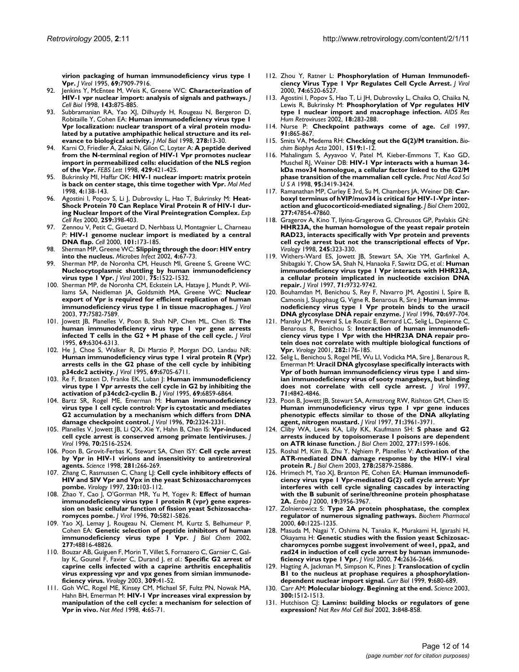**[virion packaging of human immunodeficiency virus type 1](http://www.ncbi.nlm.nih.gov/entrez/query.fcgi?cmd=Retrieve&db=PubMed&dopt=Abstract&list_uids=7494303) [Vpr.](http://www.ncbi.nlm.nih.gov/entrez/query.fcgi?cmd=Retrieve&db=PubMed&dopt=Abstract&list_uids=7494303)** *J Virol* 1995, **69:**7909-7916.

- 92. Jenkins Y, McEntee M, Weis K, Greene WC: **[Characterization of](http://www.ncbi.nlm.nih.gov/entrez/query.fcgi?cmd=Retrieve&db=PubMed&dopt=Abstract&list_uids=9817747) [HIV-1 vpr nuclear import: analysis of signals and pathways.](http://www.ncbi.nlm.nih.gov/entrez/query.fcgi?cmd=Retrieve&db=PubMed&dopt=Abstract&list_uids=9817747)** *J Cell Biol* 1998, **143:**875-885.
- 93. Subbramanian RA, Yao XJ, Dilhuydy H, Rougeau N, Bergeron D, Robitaille Y, Cohen EA: **[Human immunodeficiency virus type 1](http://www.ncbi.nlm.nih.gov/entrez/query.fcgi?cmd=Retrieve&db=PubMed&dopt=Abstract&list_uids=9571031) [Vpr localization: nuclear transport of a viral protein modu](http://www.ncbi.nlm.nih.gov/entrez/query.fcgi?cmd=Retrieve&db=PubMed&dopt=Abstract&list_uids=9571031)lated by a putative amphipathic helical structure and its rel[evance to biological activity.](http://www.ncbi.nlm.nih.gov/entrez/query.fcgi?cmd=Retrieve&db=PubMed&dopt=Abstract&list_uids=9571031)** *J Mol Biol* 1998, **278:**13-30.
- 94. Karni O, Friedler A, Zakai N, Gilon C, Loyter A: **[A peptide derived](http://www.ncbi.nlm.nih.gov/entrez/query.fcgi?cmd=Retrieve&db=PubMed&dopt=Abstract&list_uids=9662462) [from the N-terminal region of HIV-1 Vpr promotes nuclear](http://www.ncbi.nlm.nih.gov/entrez/query.fcgi?cmd=Retrieve&db=PubMed&dopt=Abstract&list_uids=9662462) import in permeabilized cells: elucidation of the NLS region [of the Vpr.](http://www.ncbi.nlm.nih.gov/entrez/query.fcgi?cmd=Retrieve&db=PubMed&dopt=Abstract&list_uids=9662462)** *FEBS Lett* 1998, **429:**421-425.
- 95. Bukrinsky MI, Haffar OK: **[HIV-1 nuclear import: matrix protein](http://www.ncbi.nlm.nih.gov/entrez/query.fcgi?cmd=Retrieve&db=PubMed&dopt=Abstract&list_uids=9562972) [is back on center stage, this time together with Vpr.](http://www.ncbi.nlm.nih.gov/entrez/query.fcgi?cmd=Retrieve&db=PubMed&dopt=Abstract&list_uids=9562972)** *Mol Med* 1998, **4:**138-143.
- 96. Agostini I, Popov S, Li J, Dubrovsky L, Hao T, Bukrinsky M: **[Heat-](http://www.ncbi.nlm.nih.gov/entrez/query.fcgi?cmd=Retrieve&db=PubMed&dopt=Abstract&list_uids=10964507)[Shock Protein 70 Can Replace Viral Protein R of HIV-1 dur](http://www.ncbi.nlm.nih.gov/entrez/query.fcgi?cmd=Retrieve&db=PubMed&dopt=Abstract&list_uids=10964507)[ing Nuclear Import of the Viral Preintegration Complex.](http://www.ncbi.nlm.nih.gov/entrez/query.fcgi?cmd=Retrieve&db=PubMed&dopt=Abstract&list_uids=10964507)** *Exp Cell Res* 2000, **259:**398-403.
- 97. Zennou V, Petit C, Guetard D, Nerhbass U, Montagnier L, Charneau P: **[HIV-1 genome nuclear import is mediated by a central](http://www.ncbi.nlm.nih.gov/entrez/query.fcgi?cmd=Retrieve&db=PubMed&dopt=Abstract&list_uids=10786833) [DNA flap.](http://www.ncbi.nlm.nih.gov/entrez/query.fcgi?cmd=Retrieve&db=PubMed&dopt=Abstract&list_uids=10786833)** *Cell* 2000, **101:**173-185.
- 98. Sherman MP, Greene WC: **[Slipping through the door: HIV entry](http://www.ncbi.nlm.nih.gov/entrez/query.fcgi?cmd=Retrieve&db=PubMed&dopt=Abstract&list_uids=11825777) [into the nucleus.](http://www.ncbi.nlm.nih.gov/entrez/query.fcgi?cmd=Retrieve&db=PubMed&dopt=Abstract&list_uids=11825777)** *Microbes Infect* 2002, **4:**67-73.
- Sherman MP, de Noronha CM, Heusch MI, Greene S, Greene WC: **[Nucleocytoplasmic shuttling by human immunodeficiency](http://www.ncbi.nlm.nih.gov/entrez/query.fcgi?cmd=Retrieve&db=PubMed&dopt=Abstract&list_uids=11152524) [virus type 1 Vpr.](http://www.ncbi.nlm.nih.gov/entrez/query.fcgi?cmd=Retrieve&db=PubMed&dopt=Abstract&list_uids=11152524)** *J Virol* 2001, **75:**1522-1532.
- 100. Sherman MP, de Noronha CM, Eckstein LA, Hataye J, Mundt P, Williams SA, Neidleman JA, Goldsmith MA, Greene WC: **[Nuclear](http://www.ncbi.nlm.nih.gov/entrez/query.fcgi?cmd=Retrieve&db=PubMed&dopt=Abstract&list_uids=12805458) [export of Vpr is required for efficient replication of human](http://www.ncbi.nlm.nih.gov/entrez/query.fcgi?cmd=Retrieve&db=PubMed&dopt=Abstract&list_uids=12805458) [immunodeficiency virus type 1 in tissue macrophages.](http://www.ncbi.nlm.nih.gov/entrez/query.fcgi?cmd=Retrieve&db=PubMed&dopt=Abstract&list_uids=12805458)** *J Virol* 2003, **77:**7582-7589.
- 101. Jowett JB, Planelles V, Poon B, Shah NP, Chen ML, Chen IS: **[The](http://www.ncbi.nlm.nih.gov/entrez/query.fcgi?cmd=Retrieve&db=PubMed&dopt=Abstract&list_uids=7666531) [human immunodeficiency virus type 1 vpr gene arrests](http://www.ncbi.nlm.nih.gov/entrez/query.fcgi?cmd=Retrieve&db=PubMed&dopt=Abstract&list_uids=7666531) [infected T cells in the G2 + M phase of the cell cycle.](http://www.ncbi.nlm.nih.gov/entrez/query.fcgi?cmd=Retrieve&db=PubMed&dopt=Abstract&list_uids=7666531)** *J Virol* 1995, **69:**6304-6313.
- 102. He J, Choe S, Walker R, Di Marzio P, Morgan DO, Landau NR: **[Human immunodeficiency virus type 1 viral protein R \(Vpr\)](http://www.ncbi.nlm.nih.gov/entrez/query.fcgi?cmd=Retrieve&db=PubMed&dopt=Abstract&list_uids=7474080) arrests cells in the G2 phase of the cell cycle by inhibiting [p34cdc2 activity.](http://www.ncbi.nlm.nih.gov/entrez/query.fcgi?cmd=Retrieve&db=PubMed&dopt=Abstract&list_uids=7474080)** *J Virol* 1995, **69:**6705-6711.
- 103. Re F, Braaten D, Franke EK, Luban J: **[Human immunodeficiency](http://www.ncbi.nlm.nih.gov/entrez/query.fcgi?cmd=Retrieve&db=PubMed&dopt=Abstract&list_uids=7474100) [virus type 1 Vpr arrests the cell cycle in G2 by inhibiting the](http://www.ncbi.nlm.nih.gov/entrez/query.fcgi?cmd=Retrieve&db=PubMed&dopt=Abstract&list_uids=7474100) [activation of p34cdc2-cyclin B.](http://www.ncbi.nlm.nih.gov/entrez/query.fcgi?cmd=Retrieve&db=PubMed&dopt=Abstract&list_uids=7474100)** *J Virol* 1995, **69:**6859-6864.
- 104. Bartz SR, Rogel ME, Emerman M: **[Human immunodeficiency](http://www.ncbi.nlm.nih.gov/entrez/query.fcgi?cmd=Retrieve&db=PubMed&dopt=Abstract&list_uids=8642659) [virus type 1 cell cycle control: Vpr is cytostatic and mediates](http://www.ncbi.nlm.nih.gov/entrez/query.fcgi?cmd=Retrieve&db=PubMed&dopt=Abstract&list_uids=8642659) G2 accumulation by a mechanism which differs from DNA [damage checkpoint control.](http://www.ncbi.nlm.nih.gov/entrez/query.fcgi?cmd=Retrieve&db=PubMed&dopt=Abstract&list_uids=8642659)** *J Virol* 1996, **70:**2324-2331.
- 105. Planelles V, Jowett JB, Li QX, Xie Y, Hahn B, Chen IS: **[Vpr-induced](http://www.ncbi.nlm.nih.gov/entrez/query.fcgi?cmd=Retrieve&db=PubMed&dopt=Abstract&list_uids=8642681) [cell cycle arrest is conserved among primate lentiviruses.](http://www.ncbi.nlm.nih.gov/entrez/query.fcgi?cmd=Retrieve&db=PubMed&dopt=Abstract&list_uids=8642681)** *J Virol* 1996, **70:**2516-2524.
- 106. Poon B, Grovit-Ferbas K, Stewart SA, Chen ISY: **[Cell cycle arrest](http://www.ncbi.nlm.nih.gov/entrez/query.fcgi?cmd=Retrieve&db=PubMed&dopt=Abstract&list_uids=9657723) [by Vpr in HIV-1 virions and insensitivity to antiretroviral](http://www.ncbi.nlm.nih.gov/entrez/query.fcgi?cmd=Retrieve&db=PubMed&dopt=Abstract&list_uids=9657723) [agents.](http://www.ncbi.nlm.nih.gov/entrez/query.fcgi?cmd=Retrieve&db=PubMed&dopt=Abstract&list_uids=9657723)** *Science* 1998, **281:**266-269.
- 107. Zhang C, Rasmussen C, Chang LJ: **[Cell cycle inhibitory effects of](http://www.ncbi.nlm.nih.gov/entrez/query.fcgi?cmd=Retrieve&db=PubMed&dopt=Abstract&list_uids=9126266) [HIV and SIV Vpr and Vpx in the yeast Schizosaccharomyces](http://www.ncbi.nlm.nih.gov/entrez/query.fcgi?cmd=Retrieve&db=PubMed&dopt=Abstract&list_uids=9126266) [pombe.](http://www.ncbi.nlm.nih.gov/entrez/query.fcgi?cmd=Retrieve&db=PubMed&dopt=Abstract&list_uids=9126266)** *Virology* 1997, **230:**103-112.
- 108. Zhao Y, Cao J, O'Gorman MR, Yu M, Yogev R: **[Effect of human](http://www.ncbi.nlm.nih.gov/entrez/query.fcgi?cmd=Retrieve&db=PubMed&dopt=Abstract&list_uids=8709199) [immunodeficiency virus type 1 protein R \(vpr\) gene expres](http://www.ncbi.nlm.nih.gov/entrez/query.fcgi?cmd=Retrieve&db=PubMed&dopt=Abstract&list_uids=8709199)sion on basic cellular function of fission yeast Schizosaccha[romyces pombe.](http://www.ncbi.nlm.nih.gov/entrez/query.fcgi?cmd=Retrieve&db=PubMed&dopt=Abstract&list_uids=8709199)** *J Virol* 1996, **70:**5821-5826.
- 109. Yao XJ, Lemay J, Rougeau N, Clement M, Kurtz S, Belhumeur P, Cohen EA: **[Genetic selection of peptide inhibitors of human](http://www.ncbi.nlm.nih.gov/entrez/query.fcgi?cmd=Retrieve&db=PubMed&dopt=Abstract&list_uids=12379652) [immunodeficiency virus type 1 Vpr.](http://www.ncbi.nlm.nih.gov/entrez/query.fcgi?cmd=Retrieve&db=PubMed&dopt=Abstract&list_uids=12379652)** *J Biol Chem* 2002, **277:**48816-48826.
- 110. Bouzar AB, Guiguen F, Morin T, Villet S, Fornazero C, Garnier C, Gallay K, Gounel F, Favier C, Durand J, *et al.*: **[Specific G2 arrest of](http://www.ncbi.nlm.nih.gov/entrez/query.fcgi?cmd=Retrieve&db=PubMed&dopt=Abstract&list_uids=12726725) [caprine cells infected with a caprine arthritis encephalitis](http://www.ncbi.nlm.nih.gov/entrez/query.fcgi?cmd=Retrieve&db=PubMed&dopt=Abstract&list_uids=12726725) virus expressing vpr and vpx genes from simian immunode[ficiency virus.](http://www.ncbi.nlm.nih.gov/entrez/query.fcgi?cmd=Retrieve&db=PubMed&dopt=Abstract&list_uids=12726725)** *Virology* 2003, **309:**41-52.
- 111. Goh WC, Rogel ME, Kinsey CM, Michael SF, Fultz PN, Nowak MA, Hahn BH, Emerman M: **[HIV-1 Vpr increases viral expression by](http://www.ncbi.nlm.nih.gov/entrez/query.fcgi?cmd=Retrieve&db=PubMed&dopt=Abstract&list_uids=9427608) [manipulation of the cell cycle: a mechanism for selection of](http://www.ncbi.nlm.nih.gov/entrez/query.fcgi?cmd=Retrieve&db=PubMed&dopt=Abstract&list_uids=9427608) [Vpr in vivo.](http://www.ncbi.nlm.nih.gov/entrez/query.fcgi?cmd=Retrieve&db=PubMed&dopt=Abstract&list_uids=9427608)** *Nat Med* 1998, **4:**65-71.
- 112. Zhou Y, Ratner L: **[Phosphorylation of Human Immunodefi](http://www.ncbi.nlm.nih.gov/entrez/query.fcgi?cmd=Retrieve&db=PubMed&dopt=Abstract&list_uids=10864665)[ciency Virus Type 1 Vpr Regulates Cell Cycle Arrest.](http://www.ncbi.nlm.nih.gov/entrez/query.fcgi?cmd=Retrieve&db=PubMed&dopt=Abstract&list_uids=10864665)** *J Virol* 2000, **74:**6520-6527.
- 113. Agostini I, Popov S, Hao T, Li JH, Dubrovsky L, Chaika O, Chaika N, Lewis R, Bukrinsky M: **[Phosphorylation of Vpr regulates HIV](http://www.ncbi.nlm.nih.gov/entrez/query.fcgi?cmd=Retrieve&db=PubMed&dopt=Abstract&list_uids=11860675) [type 1 nuclear import and macrophage infection.](http://www.ncbi.nlm.nih.gov/entrez/query.fcgi?cmd=Retrieve&db=PubMed&dopt=Abstract&list_uids=11860675)** *AIDS Res Hum Retroviruses* 2002, **18:**283-288.
- 114. Nurse P: **[Checkpoint pathways come of age.](http://www.ncbi.nlm.nih.gov/entrez/query.fcgi?cmd=Retrieve&db=PubMed&dopt=Abstract&list_uids=9428508)** *Cell* 1997, **91:**865-867.
- 115. Smits VA, Medema RH: **[Checking out the G\(2\)/M transition.](http://www.ncbi.nlm.nih.gov/entrez/query.fcgi?cmd=Retrieve&db=PubMed&dopt=Abstract&list_uids=11406266)** *Biochim Biophys Acta* 2001, **1519:**1-12.
- 116. Mahalingam S, Ayyavoo V, Patel M, Kieber-Emmons T, Kao GD, Muschel RJ, Weiner DB: **[HIV-1 Vpr interacts with a human 34](http://www.ncbi.nlm.nih.gov/entrez/query.fcgi?cmd=Retrieve&db=PubMed&dopt=Abstract&list_uids=9520381) [kDa mov34 homologue, a cellular factor linked to the G2/M](http://www.ncbi.nlm.nih.gov/entrez/query.fcgi?cmd=Retrieve&db=PubMed&dopt=Abstract&list_uids=9520381) [phase transition of the mammalian cell cycle.](http://www.ncbi.nlm.nih.gov/entrez/query.fcgi?cmd=Retrieve&db=PubMed&dopt=Abstract&list_uids=9520381)** *Proc Natl Acad Sci U S A* 1998, **95:**3419-3424.
- 117. Ramanathan MP, Curley E 3rd, Su M, Chambers JA, Weiner DB: **[Car](http://www.ncbi.nlm.nih.gov/entrez/query.fcgi?cmd=Retrieve&db=PubMed&dopt=Abstract&list_uids=12237292)[boxyl terminus of hVIP/mov34 is critical for HIV-1-Vpr inter](http://www.ncbi.nlm.nih.gov/entrez/query.fcgi?cmd=Retrieve&db=PubMed&dopt=Abstract&list_uids=12237292)[action and glucocorticoid-mediated signaling.](http://www.ncbi.nlm.nih.gov/entrez/query.fcgi?cmd=Retrieve&db=PubMed&dopt=Abstract&list_uids=12237292)** *J Biol Chem* 2002, **277:**47854-47860.
- 118. Gragerov A, Kino T, Ilyina-Gragerova G, Chrousos GP, Pavlakis GN: **[HHR23A, the human homologue of the yeast repair protein](http://www.ncbi.nlm.nih.gov/entrez/query.fcgi?cmd=Retrieve&db=PubMed&dopt=Abstract&list_uids=9636371) RAD23, interacts specifically with Vpr protein and prevents cell cycle arrest but not the transcriptional effects of Vpr.** *Virology* 1998, **245:**323-330.
- 119. Withers-Ward ES, Jowett JB, Stewart SA, Xie YM, Garfinkel A, Shibagaki Y, Chow SA, Shah N, Hanaoka F, Sawitz DG, *et al.*: **[Human](http://www.ncbi.nlm.nih.gov/entrez/query.fcgi?cmd=Retrieve&db=PubMed&dopt=Abstract&list_uids=9371639) [immunodeficiency virus type 1 Vpr interacts with HHR23A,](http://www.ncbi.nlm.nih.gov/entrez/query.fcgi?cmd=Retrieve&db=PubMed&dopt=Abstract&list_uids=9371639) a cellular protein implicated in nucleotide excision DNA [repair.](http://www.ncbi.nlm.nih.gov/entrez/query.fcgi?cmd=Retrieve&db=PubMed&dopt=Abstract&list_uids=9371639)** *J Virol* 1997, **71:**9732-9742.
- 120. Bouhamdan M, Benichou S, Rey F, Navarro JM, Agostini I, Spire B, Camonis J, Slupphaug G, Vigne R, Benarous R, Sire J: **[Human immu](http://www.ncbi.nlm.nih.gov/entrez/query.fcgi?cmd=Retrieve&db=PubMed&dopt=Abstract&list_uids=8551605)[nodeficiency virus type 1 Vpr protein binds to the uracil](http://www.ncbi.nlm.nih.gov/entrez/query.fcgi?cmd=Retrieve&db=PubMed&dopt=Abstract&list_uids=8551605) [DNA glycosylase DNA repair enzyme.](http://www.ncbi.nlm.nih.gov/entrez/query.fcgi?cmd=Retrieve&db=PubMed&dopt=Abstract&list_uids=8551605)** *J Virol* 1996, **70:**697-704.
- 121. Mansky LM, Preveral S, Le Rouzic E, Bernard LC, Selig L, Depienne C, Benarous R, Benichou S: **[Interaction of human immunodefi](http://www.ncbi.nlm.nih.gov/entrez/query.fcgi?cmd=Retrieve&db=PubMed&dopt=Abstract&list_uids=11259200)[ciency virus type 1 Vpr with the HHR23A DNA repair pro](http://www.ncbi.nlm.nih.gov/entrez/query.fcgi?cmd=Retrieve&db=PubMed&dopt=Abstract&list_uids=11259200)tein does not correlate with multiple biological functions of [Vpr.](http://www.ncbi.nlm.nih.gov/entrez/query.fcgi?cmd=Retrieve&db=PubMed&dopt=Abstract&list_uids=11259200)** *Virology* 2001, **282:**176-185.
- 122. Selig L, Benichou S, Rogel ME, Wu LI, Vodicka MA, Sire J, Benarous R, Emerman M: **[Uracil DNA glycosylase specifically interacts with](http://www.ncbi.nlm.nih.gov/entrez/query.fcgi?cmd=Retrieve&db=PubMed&dopt=Abstract&list_uids=9151883) Vpr of both human immunodeficiency virus type 1 and sim[ian immunodeficiency virus of sooty mangabeys, but binding](http://www.ncbi.nlm.nih.gov/entrez/query.fcgi?cmd=Retrieve&db=PubMed&dopt=Abstract&list_uids=9151883) [does not correlate with cell cycle arrest.](http://www.ncbi.nlm.nih.gov/entrez/query.fcgi?cmd=Retrieve&db=PubMed&dopt=Abstract&list_uids=9151883)** *J Virol* 1997, **71:**4842-4846.
- 123. Poon B, Jowett JB, Stewart SA, Armstrong RW, Rishton GM, Chen IS: **[Human immunodeficiency virus type 1 vpr gene induces](http://www.ncbi.nlm.nih.gov/entrez/query.fcgi?cmd=Retrieve&db=PubMed&dopt=Abstract&list_uids=9094673) phenotypic effects similar to those of the DNA alkylating [agent, nitrogen mustard.](http://www.ncbi.nlm.nih.gov/entrez/query.fcgi?cmd=Retrieve&db=PubMed&dopt=Abstract&list_uids=9094673)** *J Virol* 1997, **71:**3961-3971.
- 124. Cliby WA, Lewis KA, Lilly KK, Kaufmann SH: **[S phase and G2](http://www.ncbi.nlm.nih.gov/entrez/query.fcgi?cmd=Retrieve&db=PubMed&dopt=Abstract&list_uids=11700302) [arrests induced by topoisomerase I poisons are dependent](http://www.ncbi.nlm.nih.gov/entrez/query.fcgi?cmd=Retrieve&db=PubMed&dopt=Abstract&list_uids=11700302) [on ATR kinase function.](http://www.ncbi.nlm.nih.gov/entrez/query.fcgi?cmd=Retrieve&db=PubMed&dopt=Abstract&list_uids=11700302)** *J Biol Chem* 2002, **277:**1599-1606.
- 125. Roshal M, Kim B, Zhu Y, Nghiem P, Planelles V: **[Activation of the](http://www.ncbi.nlm.nih.gov/entrez/query.fcgi?cmd=Retrieve&db=PubMed&dopt=Abstract&list_uids=12738771) [ATR-mediated DNA damage response by the HIV-1 viral](http://www.ncbi.nlm.nih.gov/entrez/query.fcgi?cmd=Retrieve&db=PubMed&dopt=Abstract&list_uids=12738771) [protein R.](http://www.ncbi.nlm.nih.gov/entrez/query.fcgi?cmd=Retrieve&db=PubMed&dopt=Abstract&list_uids=12738771)** *J Biol Chem* 2003, **278:**25879-25886.
- 126. Hrimech M, Yao XJ, Branton PE, Cohen EA: **[Human immunodefi](http://www.ncbi.nlm.nih.gov/entrez/query.fcgi?cmd=Retrieve&db=PubMed&dopt=Abstract&list_uids=10921877)ciency virus type 1 Vpr-mediated G(2) cell cycle arrest: Vpr interferes with cell cycle signaling cascades by interacting [with the B subunit of serine/threonine protein phosphatase](http://www.ncbi.nlm.nih.gov/entrez/query.fcgi?cmd=Retrieve&db=PubMed&dopt=Abstract&list_uids=10921877) [2A.](http://www.ncbi.nlm.nih.gov/entrez/query.fcgi?cmd=Retrieve&db=PubMed&dopt=Abstract&list_uids=10921877)** *Embo J* 2000, **19:**3956-3967.
- 127. Zolnierowicz S: **[Type 2A protein phosphatase, the complex](http://www.ncbi.nlm.nih.gov/entrez/query.fcgi?cmd=Retrieve&db=PubMed&dopt=Abstract&list_uids=11007961) [regulator of numerous signaling pathways.](http://www.ncbi.nlm.nih.gov/entrez/query.fcgi?cmd=Retrieve&db=PubMed&dopt=Abstract&list_uids=11007961)** *Biochem Pharmacol* 2000, **60:**1225-1235.
- 128. Masuda M, Nagai Y, Oshima N, Tanaka K, Murakami H, Igarashi H, Okayama H: **[Genetic studies with the fission yeast Schizosac](http://www.ncbi.nlm.nih.gov/entrez/query.fcgi?cmd=Retrieve&db=PubMed&dopt=Abstract&list_uids=10684278)[charomyces pombe suggest involvement of wee1, ppa2, and](http://www.ncbi.nlm.nih.gov/entrez/query.fcgi?cmd=Retrieve&db=PubMed&dopt=Abstract&list_uids=10684278) rad24 in induction of cell cycle arrest by human immunode[ficiency virus type 1 Vpr.](http://www.ncbi.nlm.nih.gov/entrez/query.fcgi?cmd=Retrieve&db=PubMed&dopt=Abstract&list_uids=10684278)** *J Virol* 2000, **74:**2636-2646.
- 129. Hagting A, Jackman M, Simpson K, Pines J: [Translocation of cyclin](http://www.ncbi.nlm.nih.gov/entrez/query.fcgi?cmd=Retrieve&db=PubMed&dopt=Abstract&list_uids=10395539) **[B1 to the nucleus at prophase requires a phosphorylation](http://www.ncbi.nlm.nih.gov/entrez/query.fcgi?cmd=Retrieve&db=PubMed&dopt=Abstract&list_uids=10395539)[dependent nuclear import signal.](http://www.ncbi.nlm.nih.gov/entrez/query.fcgi?cmd=Retrieve&db=PubMed&dopt=Abstract&list_uids=10395539)** *Curr Biol* 1999, **9:**680-689.
- 130. Carr AM: **[Molecular biology. Beginning at the end.](http://www.ncbi.nlm.nih.gov/entrez/query.fcgi?cmd=Retrieve&db=PubMed&dopt=Abstract&list_uids=12791969)** *Science* 2003, **300:**1512-1513.
- 131. Hutchison CJ: **[Lamins: building blocks or regulators of gene](http://www.ncbi.nlm.nih.gov/entrez/query.fcgi?cmd=Retrieve&db=PubMed&dopt=Abstract&list_uids=12415302) [expression?](http://www.ncbi.nlm.nih.gov/entrez/query.fcgi?cmd=Retrieve&db=PubMed&dopt=Abstract&list_uids=12415302)** *Nat Rev Mol Cell Biol* 2002, **3:**848-858.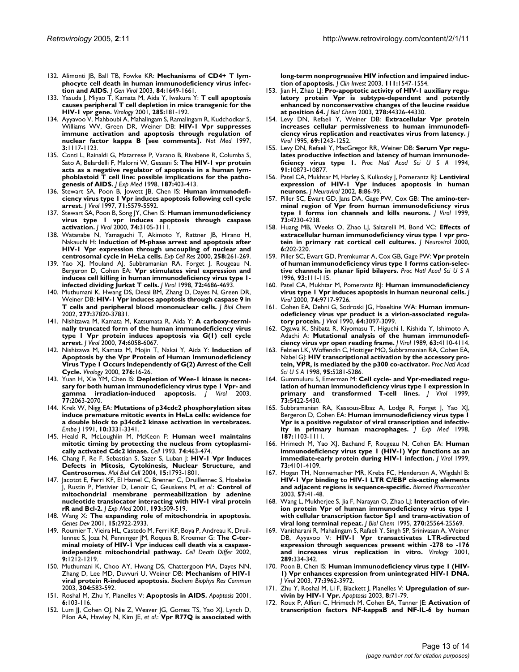- 132. Alimonti JB, Ball TB, Fowke KR: [Mechanisms of CD4+ T lym](http://www.ncbi.nlm.nih.gov/entrez/query.fcgi?cmd=Retrieve&db=PubMed&dopt=Abstract&list_uids=12810858)**[phocyte cell death in human immunodeficiency virus infec](http://www.ncbi.nlm.nih.gov/entrez/query.fcgi?cmd=Retrieve&db=PubMed&dopt=Abstract&list_uids=12810858)[tion and AIDS.](http://www.ncbi.nlm.nih.gov/entrez/query.fcgi?cmd=Retrieve&db=PubMed&dopt=Abstract&list_uids=12810858)** *J Gen Virol* 2003, **84:**1649-1661.
- 133. Yasuda J, Miyao T, Kamata M, Aida Y, Iwakura Y: **[T cell apoptosis](http://www.ncbi.nlm.nih.gov/entrez/query.fcgi?cmd=Retrieve&db=PubMed&dopt=Abstract&list_uids=11437653) [causes peripheral T cell depletion in mice transgenic for the](http://www.ncbi.nlm.nih.gov/entrez/query.fcgi?cmd=Retrieve&db=PubMed&dopt=Abstract&list_uids=11437653) [HIV-1 vpr gene.](http://www.ncbi.nlm.nih.gov/entrez/query.fcgi?cmd=Retrieve&db=PubMed&dopt=Abstract&list_uids=11437653)** *Virology* 2001, **285:**181-192.
- 134. Ayyavoo V, Mahboubi A, Mahalingam S, Ramalingam R, Kudchodkar S, Williams WV, Green DR, Weiner DB: **[HIV-1 Vpr suppresses](http://www.ncbi.nlm.nih.gov/entrez/query.fcgi?cmd=Retrieve&db=PubMed&dopt=Abstract&list_uids=9334723) [immune activation and apoptosis through regulation of](http://www.ncbi.nlm.nih.gov/entrez/query.fcgi?cmd=Retrieve&db=PubMed&dopt=Abstract&list_uids=9334723) [nuclear factor kappa B \[see comments\].](http://www.ncbi.nlm.nih.gov/entrez/query.fcgi?cmd=Retrieve&db=PubMed&dopt=Abstract&list_uids=9334723)** *Nat Med* 1997, **3:**1117-1123.
- 135. Conti L, Rainaldi G, Matarrese P, Varano B, Rivabene R, Columba S, Sato A, Belardelli F, Malorni W, Gessani S: **[The HIV-1 vpr protein](http://www.ncbi.nlm.nih.gov/entrez/query.fcgi?cmd=Retrieve&db=PubMed&dopt=Abstract&list_uids=9449720) [acts as a negative regulator of apoptosis in a human lym](http://www.ncbi.nlm.nih.gov/entrez/query.fcgi?cmd=Retrieve&db=PubMed&dopt=Abstract&list_uids=9449720)phoblastoid T cell line: possible implications for the patho[genesis of AIDS.](http://www.ncbi.nlm.nih.gov/entrez/query.fcgi?cmd=Retrieve&db=PubMed&dopt=Abstract&list_uids=9449720)** *J Exp Med* 1998, **187:**403-413.
- 136. Stewart SA, Poon B, Jowett JB, Chen IS: **[Human immunodefi](http://www.ncbi.nlm.nih.gov/entrez/query.fcgi?cmd=Retrieve&db=PubMed&dopt=Abstract&list_uids=9188632)[ciency virus type 1 Vpr induces apoptosis following cell cycle](http://www.ncbi.nlm.nih.gov/entrez/query.fcgi?cmd=Retrieve&db=PubMed&dopt=Abstract&list_uids=9188632) [arrest.](http://www.ncbi.nlm.nih.gov/entrez/query.fcgi?cmd=Retrieve&db=PubMed&dopt=Abstract&list_uids=9188632)** *J Virol* 1997, **71:**5579-5592.
- 137. Stewart SA, Poon B, Song JY, Chen IS: **[Human immunodeficiency](http://www.ncbi.nlm.nih.gov/entrez/query.fcgi?cmd=Retrieve&db=PubMed&dopt=Abstract&list_uids=10708425) [virus type 1 vpr induces apoptosis through caspase](http://www.ncbi.nlm.nih.gov/entrez/query.fcgi?cmd=Retrieve&db=PubMed&dopt=Abstract&list_uids=10708425) [activation.](http://www.ncbi.nlm.nih.gov/entrez/query.fcgi?cmd=Retrieve&db=PubMed&dopt=Abstract&list_uids=10708425)** *J Virol* 2000, **74:**3105-3111.
- 138. Watanabe N, Yamaguchi T, Akimoto Y, Rattner JB, Hirano H, Nakauchi H: **[Induction of M-phase arrest and apoptosis after](http://www.ncbi.nlm.nih.gov/entrez/query.fcgi?cmd=Retrieve&db=PubMed&dopt=Abstract&list_uids=10896777) [HIV-1 Vpr expression through uncoupling of nuclear and](http://www.ncbi.nlm.nih.gov/entrez/query.fcgi?cmd=Retrieve&db=PubMed&dopt=Abstract&list_uids=10896777) [centrosomal cycle in HeLa cells.](http://www.ncbi.nlm.nih.gov/entrez/query.fcgi?cmd=Retrieve&db=PubMed&dopt=Abstract&list_uids=10896777)** *Exp Cell Res* 2000, **258:**261-269.
- 139. Yao XJ, Mouland AJ, Subbramanian RA, Forget J, Rougeau N, Bergeron D, Cohen EA: **[Vpr stimulates viral expression and](http://www.ncbi.nlm.nih.gov/entrez/query.fcgi?cmd=Retrieve&db=PubMed&dopt=Abstract&list_uids=9573232) [induces cell killing in human immunodeficiency virus type 1](http://www.ncbi.nlm.nih.gov/entrez/query.fcgi?cmd=Retrieve&db=PubMed&dopt=Abstract&list_uids=9573232) [infected dividing Jurkat T cells.](http://www.ncbi.nlm.nih.gov/entrez/query.fcgi?cmd=Retrieve&db=PubMed&dopt=Abstract&list_uids=9573232)** *J Virol* 1998, **72:**4686-4693.
- 140. Muthumani K, Hwang DS, Desai BM, Zhang D, Dayes N, Green DR, Weiner DB: **[HIV-1 Vpr induces apoptosis through caspase 9 in](http://www.ncbi.nlm.nih.gov/entrez/query.fcgi?cmd=Retrieve&db=PubMed&dopt=Abstract&list_uids=12095993) [T cells and peripheral blood mononuclear cells.](http://www.ncbi.nlm.nih.gov/entrez/query.fcgi?cmd=Retrieve&db=PubMed&dopt=Abstract&list_uids=12095993)** *J Biol Chem* 2002, **277:**37820-37831.
- 141. Nishizawa M, Kamata M, Katsumata R, Aida Y: **[A carboxy-termi](http://www.ncbi.nlm.nih.gov/entrez/query.fcgi?cmd=Retrieve&db=PubMed&dopt=Abstract&list_uids=10846089)[nally truncated form of the human immunodeficiency virus](http://www.ncbi.nlm.nih.gov/entrez/query.fcgi?cmd=Retrieve&db=PubMed&dopt=Abstract&list_uids=10846089) type 1 Vpr protein induces apoptosis via G(1) cell cycle [arrest.](http://www.ncbi.nlm.nih.gov/entrez/query.fcgi?cmd=Retrieve&db=PubMed&dopt=Abstract&list_uids=10846089)** *J Virol* 2000, **74:**6058-6067.
- 142. Nishizawa M, Kamata M, Mojin T, Nakai Y, Aida Y: **[Induction of](http://www.ncbi.nlm.nih.gov/entrez/query.fcgi?cmd=Retrieve&db=PubMed&dopt=Abstract&list_uids=11021990) [Apoptosis by the Vpr Protein of Human Immunodeficiency](http://www.ncbi.nlm.nih.gov/entrez/query.fcgi?cmd=Retrieve&db=PubMed&dopt=Abstract&list_uids=11021990) Virus Type 1 Occurs Independently of G(2) Arrest of the Cell [Cycle.](http://www.ncbi.nlm.nih.gov/entrez/query.fcgi?cmd=Retrieve&db=PubMed&dopt=Abstract&list_uids=11021990)** *Virology* 2000, **276:**16-26.
- 143. Yuan H, Xie YM, Chen IS: **[Depletion of Wee-1 kinase is neces](http://www.ncbi.nlm.nih.gov/entrez/query.fcgi?cmd=Retrieve&db=PubMed&dopt=Abstract&list_uids=12525641)[sary for both human immunodeficiency virus type 1 Vpr- and](http://www.ncbi.nlm.nih.gov/entrez/query.fcgi?cmd=Retrieve&db=PubMed&dopt=Abstract&list_uids=12525641) [gamma irradiation-induced apoptosis.](http://www.ncbi.nlm.nih.gov/entrez/query.fcgi?cmd=Retrieve&db=PubMed&dopt=Abstract&list_uids=12525641)** *J Virol* 2003, **77:**2063-2070.
- 144. Krek W, Nigg EA: **[Mutations of p34cdc2 phosphorylation sites](http://www.ncbi.nlm.nih.gov/entrez/query.fcgi?cmd=Retrieve&db=PubMed&dopt=Abstract&list_uids=1655418) [induce premature mitotic events in HeLa cells: evidence for](http://www.ncbi.nlm.nih.gov/entrez/query.fcgi?cmd=Retrieve&db=PubMed&dopt=Abstract&list_uids=1655418) a double block to p34cdc2 kinase activation in vertebrates.** *Embo J* 1991, **10:**3331-3341.
- 145. Heald R, McLoughlin M, McKeon F: **[Human wee1 maintains](http://www.ncbi.nlm.nih.gov/entrez/query.fcgi?cmd=Retrieve&db=PubMed&dopt=Abstract&list_uids=8348613) [mitotic timing by protecting the nucleus from cytoplasmi](http://www.ncbi.nlm.nih.gov/entrez/query.fcgi?cmd=Retrieve&db=PubMed&dopt=Abstract&list_uids=8348613)[cally activated Cdc2 kinase.](http://www.ncbi.nlm.nih.gov/entrez/query.fcgi?cmd=Retrieve&db=PubMed&dopt=Abstract&list_uids=8348613)** *Cell* 1993, **74:**463-474.
- 146. Chang F, Re F, Sebastian S, Sazer S, Luban J: **[HIV-1 Vpr Induces](http://www.ncbi.nlm.nih.gov/entrez/query.fcgi?cmd=Retrieve&db=PubMed&dopt=Abstract&list_uids=14767062) [Defects in Mitosis, Cytokinesis, Nuclear Structure, and](http://www.ncbi.nlm.nih.gov/entrez/query.fcgi?cmd=Retrieve&db=PubMed&dopt=Abstract&list_uids=14767062) [Centrosomes.](http://www.ncbi.nlm.nih.gov/entrez/query.fcgi?cmd=Retrieve&db=PubMed&dopt=Abstract&list_uids=14767062)** *Mol Biol Cell* 2004, **15:**1793-1801.
- 147. Jacotot E, Ferri KF, El Hamel C, Brenner C, Druillennec S, Hoebeke J, Rustin P, Metivier D, Lenoir C, Geuskens M, *et al.*: **[Control of](http://www.ncbi.nlm.nih.gov/entrez/query.fcgi?cmd=Retrieve&db=PubMed&dopt=Abstract&list_uids=11181702) [mitochondrial membrane permeabilization by adenine](http://www.ncbi.nlm.nih.gov/entrez/query.fcgi?cmd=Retrieve&db=PubMed&dopt=Abstract&list_uids=11181702) nucleotide translocator interacting with HIV-1 viral protein [rR and Bcl-2.](http://www.ncbi.nlm.nih.gov/entrez/query.fcgi?cmd=Retrieve&db=PubMed&dopt=Abstract&list_uids=11181702)** *J Exp Med* 2001, **193:**509-519.
- 148. Wang X: **[The expanding role of mitochondria in apoptosis.](http://www.ncbi.nlm.nih.gov/entrez/query.fcgi?cmd=Retrieve&db=PubMed&dopt=Abstract&list_uids=11711427)** *Genes Dev* 2001, **15:**2922-2933.
- 149. Roumier T, Vieira HL, Castedo M, Ferri KF, Boya P, Andreau K, Druillennec S, Joza N, Penninger JM, Roques B, Kroemer G: **[The C-ter](http://www.ncbi.nlm.nih.gov/entrez/query.fcgi?cmd=Retrieve&db=PubMed&dopt=Abstract&list_uids=12404120)[minal moiety of HIV-1 Vpr induces cell death via a caspase](http://www.ncbi.nlm.nih.gov/entrez/query.fcgi?cmd=Retrieve&db=PubMed&dopt=Abstract&list_uids=12404120)[independent mitochondrial pathway.](http://www.ncbi.nlm.nih.gov/entrez/query.fcgi?cmd=Retrieve&db=PubMed&dopt=Abstract&list_uids=12404120)** *Cell Death Differ* 2002, **9:**1212-1219.
- 150. Muthumani K, Choo AY, Hwang DS, Chattergoon MA, Dayes NN, Zhang D, Lee MD, Duvvuri U, Weiner DB: **[Mechanism of HIV-1](http://www.ncbi.nlm.nih.gov/entrez/query.fcgi?cmd=Retrieve&db=PubMed&dopt=Abstract&list_uids=12729593) [viral protein R-induced apoptosis.](http://www.ncbi.nlm.nih.gov/entrez/query.fcgi?cmd=Retrieve&db=PubMed&dopt=Abstract&list_uids=12729593)** *Biochem Biophys Res Commun* 2003, **304:**583-592.
- 151. Roshal M, Zhu Y, Planelles V: **[Apoptosis in AIDS.](http://www.ncbi.nlm.nih.gov/entrez/query.fcgi?cmd=Retrieve&db=PubMed&dopt=Abstract&list_uids=11321033)** *Apoptosis* 2001, **6:**103-116.
- 152. Lum JJ, Cohen OJ, Nie Z, Weaver JG, Gomez TS, Yao XJ, Lynch D, Pilon AA, Hawley N, Kim JE, *et al.*: **[Vpr R77Q is associated with](http://www.ncbi.nlm.nih.gov/entrez/query.fcgi?cmd=Retrieve&db=PubMed&dopt=Abstract&list_uids=12750404)**

**[long-term nonprogressive HIV infection and impaired induc](http://www.ncbi.nlm.nih.gov/entrez/query.fcgi?cmd=Retrieve&db=PubMed&dopt=Abstract&list_uids=12750404)[tion of apoptosis.](http://www.ncbi.nlm.nih.gov/entrez/query.fcgi?cmd=Retrieve&db=PubMed&dopt=Abstract&list_uids=12750404)** *J Clin Invest* 2003, **111:**1547-1554.

- 153. Jian H, Zhao LJ: **[Pro-apoptotic activity of HIV-1 auxiliary regu](http://www.ncbi.nlm.nih.gov/entrez/query.fcgi?cmd=Retrieve&db=PubMed&dopt=Abstract&list_uids=14506268)[latory protein Vpr is subtype-dependent and potently](http://www.ncbi.nlm.nih.gov/entrez/query.fcgi?cmd=Retrieve&db=PubMed&dopt=Abstract&list_uids=14506268) enhanced by nonconservative changes of the leucine residue [at position 64.](http://www.ncbi.nlm.nih.gov/entrez/query.fcgi?cmd=Retrieve&db=PubMed&dopt=Abstract&list_uids=14506268)** *J Biol Chem* 2003, **278:**44326-44330.
- 154. Levy DN, Refaeli Y, Weiner DB: **[Extracellular Vpr protein](http://www.ncbi.nlm.nih.gov/entrez/query.fcgi?cmd=Retrieve&db=PubMed&dopt=Abstract&list_uids=7815499) [increases cellular permissiveness to human immunodefi](http://www.ncbi.nlm.nih.gov/entrez/query.fcgi?cmd=Retrieve&db=PubMed&dopt=Abstract&list_uids=7815499)[ciency virus replication and reactivates virus from latency.](http://www.ncbi.nlm.nih.gov/entrez/query.fcgi?cmd=Retrieve&db=PubMed&dopt=Abstract&list_uids=7815499)** *J Virol* 1995, **69:**1243-1252.
- 155. Levy DN, Refaeli Y, MacGregor RR, Weiner DB: **[Serum Vpr regu](http://www.ncbi.nlm.nih.gov/entrez/query.fcgi?cmd=Retrieve&db=PubMed&dopt=Abstract&list_uids=7971975)[lates productive infection and latency of human immunode](http://www.ncbi.nlm.nih.gov/entrez/query.fcgi?cmd=Retrieve&db=PubMed&dopt=Abstract&list_uids=7971975)[ficiency virus type 1.](http://www.ncbi.nlm.nih.gov/entrez/query.fcgi?cmd=Retrieve&db=PubMed&dopt=Abstract&list_uids=7971975)** *Proc Natl Acad Sci U S A* 1994, **91:**10873-10877.
- 156. Patel CA, Mukhtar M, Harley S, Kulkosky J, Pomerantz RJ: **[Lentiviral](http://www.ncbi.nlm.nih.gov/entrez/query.fcgi?cmd=Retrieve&db=PubMed&dopt=Abstract&list_uids=11935461) [expression of HIV-1 Vpr induces apoptosis in human](http://www.ncbi.nlm.nih.gov/entrez/query.fcgi?cmd=Retrieve&db=PubMed&dopt=Abstract&list_uids=11935461) [neurons.](http://www.ncbi.nlm.nih.gov/entrez/query.fcgi?cmd=Retrieve&db=PubMed&dopt=Abstract&list_uids=11935461)** *J Neurovirol* 2002, **8:**86-99.
- 157. Piller SC, Ewart GD, Jans DA, Gage PW, Cox GB: **[The amino-ter](http://www.ncbi.nlm.nih.gov/entrez/query.fcgi?cmd=Retrieve&db=PubMed&dopt=Abstract&list_uids=10196319)[minal region of Vpr from human immunodeficiency virus](http://www.ncbi.nlm.nih.gov/entrez/query.fcgi?cmd=Retrieve&db=PubMed&dopt=Abstract&list_uids=10196319) [type 1 forms ion channels and kills neurons.](http://www.ncbi.nlm.nih.gov/entrez/query.fcgi?cmd=Retrieve&db=PubMed&dopt=Abstract&list_uids=10196319)** *J Virol* 1999, **73:**4230-4238.
- 158. Huang MB, Weeks O, Zhao LJ, Saltarelli M, Bond VC: **[Effects of](http://www.ncbi.nlm.nih.gov/entrez/query.fcgi?cmd=Retrieve&db=PubMed&dopt=Abstract&list_uids=10878710) [extracellular human immunodeficiency virus type 1 vpr pro](http://www.ncbi.nlm.nih.gov/entrez/query.fcgi?cmd=Retrieve&db=PubMed&dopt=Abstract&list_uids=10878710)[tein in primary rat cortical cell cultures.](http://www.ncbi.nlm.nih.gov/entrez/query.fcgi?cmd=Retrieve&db=PubMed&dopt=Abstract&list_uids=10878710)** *J Neurovirol* 2000, **6:**202-220.
- 159. Piller SC, Ewart GD, Premkumar A, Cox GB, Gage PW: **[Vpr protein](http://www.ncbi.nlm.nih.gov/entrez/query.fcgi?cmd=Retrieve&db=PubMed&dopt=Abstract&list_uids=8552585) [of human immunodeficiency virus type 1 forms cation-selec](http://www.ncbi.nlm.nih.gov/entrez/query.fcgi?cmd=Retrieve&db=PubMed&dopt=Abstract&list_uids=8552585)[tive channels in planar lipid bilayers.](http://www.ncbi.nlm.nih.gov/entrez/query.fcgi?cmd=Retrieve&db=PubMed&dopt=Abstract&list_uids=8552585)** *Proc Natl Acad Sci U S A* 1996, **93:**111-115.
- 160. Patel CA, Mukhtar M, Pomerantz RJ: **[Human immunodeficiency](http://www.ncbi.nlm.nih.gov/entrez/query.fcgi?cmd=Retrieve&db=PubMed&dopt=Abstract&list_uids=11000244) [virus type 1 Vpr induces apoptosis in human neuronal cells.](http://www.ncbi.nlm.nih.gov/entrez/query.fcgi?cmd=Retrieve&db=PubMed&dopt=Abstract&list_uids=11000244)** *J Virol* 2000, **74:**9717-9726.
- 161. Cohen EA, Dehni G, Sodroski JG, Haseltine WA: **[Human immun](http://www.ncbi.nlm.nih.gov/entrez/query.fcgi?cmd=Retrieve&db=PubMed&dopt=Abstract&list_uids=2139896)[odeficiency virus vpr product is a virion-associated regula](http://www.ncbi.nlm.nih.gov/entrez/query.fcgi?cmd=Retrieve&db=PubMed&dopt=Abstract&list_uids=2139896)[tory protein.](http://www.ncbi.nlm.nih.gov/entrez/query.fcgi?cmd=Retrieve&db=PubMed&dopt=Abstract&list_uids=2139896)** *J Virol* 1990, **64:**3097-3099.
- 162. Ogawa K, Shibata R, Kiyomasu T, Higuchi I, Kishida Y, Ishimoto A, Adachi A: **[Mutational analysis of the human immunodefi](http://www.ncbi.nlm.nih.gov/entrez/query.fcgi?cmd=Retrieve&db=PubMed&dopt=Abstract&list_uids=2474678)[ciency virus vpr open reading frame.](http://www.ncbi.nlm.nih.gov/entrez/query.fcgi?cmd=Retrieve&db=PubMed&dopt=Abstract&list_uids=2474678)** *J Virol* 1989, **63:**4110-4114.
- 163. Felzien LK, Woffendin C, Hottiger MO, Subbramanian RA, Cohen EA, Nabel GJ: **[HIV transcriptional activation by the accessory pro](http://www.ncbi.nlm.nih.gov/entrez/query.fcgi?cmd=Retrieve&db=PubMed&dopt=Abstract&list_uids=9560267)[tein, VPR, is mediated by the p300 co-activator.](http://www.ncbi.nlm.nih.gov/entrez/query.fcgi?cmd=Retrieve&db=PubMed&dopt=Abstract&list_uids=9560267)** *Proc Natl Acad Sci U S A* 1998, **95:**5281-5286.
- 164. Gummuluru S, Emerman M: **[Cell cycle- and Vpr-mediated regu](http://www.ncbi.nlm.nih.gov/entrez/query.fcgi?cmd=Retrieve&db=PubMed&dopt=Abstract&list_uids=10364289)[lation of human immunodeficiency virus type 1 expression in](http://www.ncbi.nlm.nih.gov/entrez/query.fcgi?cmd=Retrieve&db=PubMed&dopt=Abstract&list_uids=10364289) [primary and transformed T-cell lines.](http://www.ncbi.nlm.nih.gov/entrez/query.fcgi?cmd=Retrieve&db=PubMed&dopt=Abstract&list_uids=10364289)** *J Virol* 1999, **73:**5422-5430.
- 165. Subbramanian RA, Kessous-Elbaz A, Lodge R, Forget J, Yao XJ, Bergeron D, Cohen EA: **[Human immunodeficiency virus type 1](http://www.ncbi.nlm.nih.gov/entrez/query.fcgi?cmd=Retrieve&db=PubMed&dopt=Abstract&list_uids=9529326) [Vpr is a positive regulator of viral transcription and infectiv](http://www.ncbi.nlm.nih.gov/entrez/query.fcgi?cmd=Retrieve&db=PubMed&dopt=Abstract&list_uids=9529326)[ity in primary human macrophages.](http://www.ncbi.nlm.nih.gov/entrez/query.fcgi?cmd=Retrieve&db=PubMed&dopt=Abstract&list_uids=9529326)** *J Exp Med* 1998, **187:**1103-1111.
- 166. Hrimech M, Yao XJ, Bachand F, Rougeau N, Cohen EA: **[Human](http://www.ncbi.nlm.nih.gov/entrez/query.fcgi?cmd=Retrieve&db=PubMed&dopt=Abstract&list_uids=10196306) [immunodeficiency virus type 1 \(HIV-1\) Vpr functions as an](http://www.ncbi.nlm.nih.gov/entrez/query.fcgi?cmd=Retrieve&db=PubMed&dopt=Abstract&list_uids=10196306) [immediate-early protein during HIV-1 infection.](http://www.ncbi.nlm.nih.gov/entrez/query.fcgi?cmd=Retrieve&db=PubMed&dopt=Abstract&list_uids=10196306)** *J Virol* 1999, **73:**4101-4109.
- 167. Hogan TH, Nonnemacher MR, Krebs FC, Henderson A, Wigdahl B: **[HIV-1 Vpr binding to HIV-1 LTR C/EBP cis-acting elements](http://www.ncbi.nlm.nih.gov/entrez/query.fcgi?cmd=Retrieve&db=PubMed&dopt=Abstract&list_uids=12642036) [and adjacent regions is sequence-specific.](http://www.ncbi.nlm.nih.gov/entrez/query.fcgi?cmd=Retrieve&db=PubMed&dopt=Abstract&list_uids=12642036)** *Biomed Pharmacother* 2003, **57:**41-48.
- 168. Wang L, Mukherjee S, Jia F, Narayan O, Zhao L|: [Interaction of vir](http://www.ncbi.nlm.nih.gov/entrez/query.fcgi?cmd=Retrieve&db=PubMed&dopt=Abstract&list_uids=7592727)**[ion protein Vpr of human immunodeficiency virus type 1](http://www.ncbi.nlm.nih.gov/entrez/query.fcgi?cmd=Retrieve&db=PubMed&dopt=Abstract&list_uids=7592727) with cellular transcription factor Sp1 and trans-activation of [viral long terminal repeat.](http://www.ncbi.nlm.nih.gov/entrez/query.fcgi?cmd=Retrieve&db=PubMed&dopt=Abstract&list_uids=7592727)** *J Biol Chem* 1995, **270:**25564-25569.
- 169. Vanitharani R, Mahalingam S, Rafaeli Y, Singh SP, Srinivasan A, Weiner DB, Ayyavoo V: **[HIV-1 Vpr transactivates LTR-directed](http://www.ncbi.nlm.nih.gov/entrez/query.fcgi?cmd=Retrieve&db=PubMed&dopt=Abstract&list_uids=11689055) [expression through sequences present within -278 to -176](http://www.ncbi.nlm.nih.gov/entrez/query.fcgi?cmd=Retrieve&db=PubMed&dopt=Abstract&list_uids=11689055) [and increases virus replication in vitro.](http://www.ncbi.nlm.nih.gov/entrez/query.fcgi?cmd=Retrieve&db=PubMed&dopt=Abstract&list_uids=11689055)** *Virology* 2001, **289:**334-342.
- 170. Poon B, Chen IS: **[Human immunodeficiency virus type 1 \(HIV-](http://www.ncbi.nlm.nih.gov/entrez/query.fcgi?cmd=Retrieve&db=PubMed&dopt=Abstract&list_uids=12634356)[1\) Vpr enhances expression from unintegrated HIV-1 DNA.](http://www.ncbi.nlm.nih.gov/entrez/query.fcgi?cmd=Retrieve&db=PubMed&dopt=Abstract&list_uids=12634356)** *J Virol* 2003, **77:**3962-3972.
- 171. Zhu Y, Roshal M, Li F, Blackett J, Planelles V: **[Upregulation of sur](http://www.ncbi.nlm.nih.gov/entrez/query.fcgi?cmd=Retrieve&db=PubMed&dopt=Abstract&list_uids=12510154)[vivin by HIV-1 Vpr.](http://www.ncbi.nlm.nih.gov/entrez/query.fcgi?cmd=Retrieve&db=PubMed&dopt=Abstract&list_uids=12510154)** *Apoptosis* 2003, **8:**71-79.
- 172. Roux P, Alfieri C, Hrimech M, Cohen EA, Tanner JE: **[Activation of](http://www.ncbi.nlm.nih.gov/entrez/query.fcgi?cmd=Retrieve&db=PubMed&dopt=Abstract&list_uids=10775602) [transcription factors NF-kappaB and NF-IL-6 by human](http://www.ncbi.nlm.nih.gov/entrez/query.fcgi?cmd=Retrieve&db=PubMed&dopt=Abstract&list_uids=10775602)**